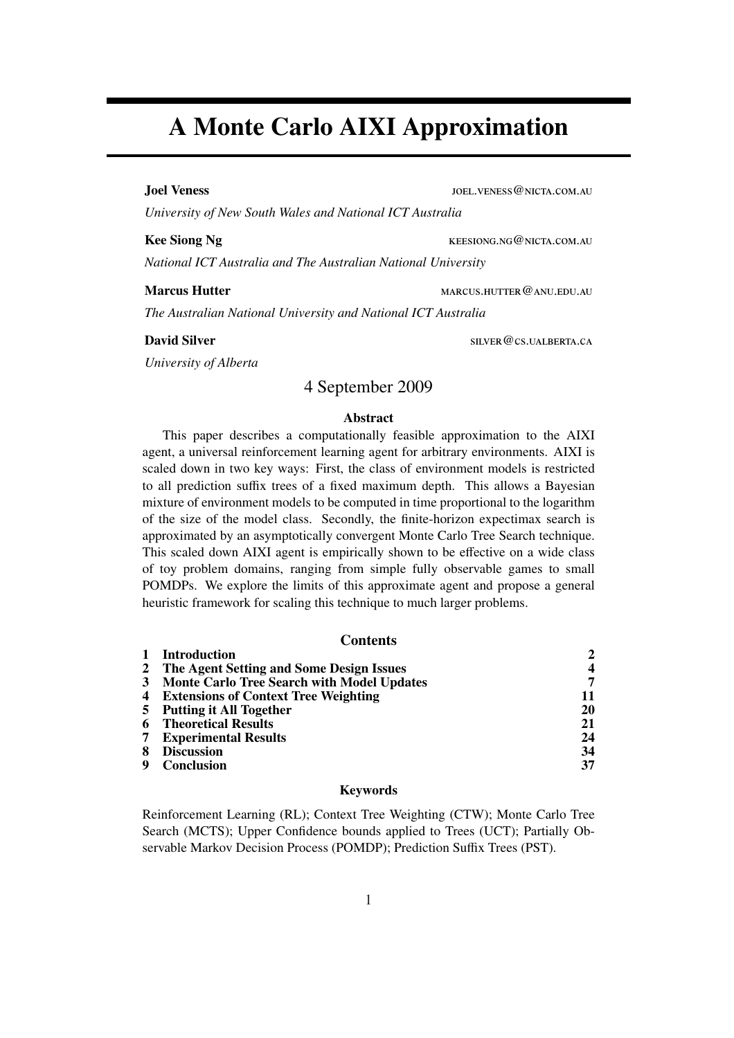# A Monte Carlo AIXI Approximation

Joel Veness and The United States in the United States of the United States and Toel. VENESS @NICTA.COM.AU

*University of New South Wales and National ICT Australia*

Kee Siong Ng keesiong.ng@nicta.com.au

*National ICT Australia and The Australian National University*

Marcus Hutter marcus.hutter marcus.hutter@anu.edu.au

*The Australian National University and National ICT Australia*

#### **David Silver** SILVER @CS.UALBERTA.CA

*University of Alberta*

#### 4 September 2009

#### Abstract

This paper describes a computationally feasible approximation to the AIXI agent, a universal reinforcement learning agent for arbitrary environments. AIXI is scaled down in two key ways: First, the class of environment models is restricted to all prediction suffix trees of a fixed maximum depth. This allows a Bayesian mixture of environment models to be computed in time proportional to the logarithm of the size of the model class. Secondly, the finite-horizon expectimax search is approximated by an asymptotically convergent Monte Carlo Tree Search technique. This scaled down AIXI agent is empirically shown to be effective on a wide class of toy problem domains, ranging from simple fully observable games to small POMDPs. We explore the limits of this approximate agent and propose a general heuristic framework for scaling this technique to much larger problems.

#### **Contents**

|   | <b>Introduction</b>                           |    |
|---|-----------------------------------------------|----|
|   | 2 The Agent Setting and Some Design Issues    | 4  |
|   | 3 Monte Carlo Tree Search with Model Updates  | 7  |
|   | <b>4</b> Extensions of Context Tree Weighting | 11 |
|   | 5 Putting it All Together                     | 20 |
| 6 | <b>Theoretical Results</b>                    | 21 |
|   | <b>7</b> Experimental Results                 | 24 |
| 8 | <b>Discussion</b>                             | 34 |
|   | <b>Conclusion</b>                             | 37 |

#### Keywords

Reinforcement Learning (RL); Context Tree Weighting (CTW); Monte Carlo Tree Search (MCTS); Upper Confidence bounds applied to Trees (UCT); Partially Observable Markov Decision Process (POMDP); Prediction Suffix Trees (PST).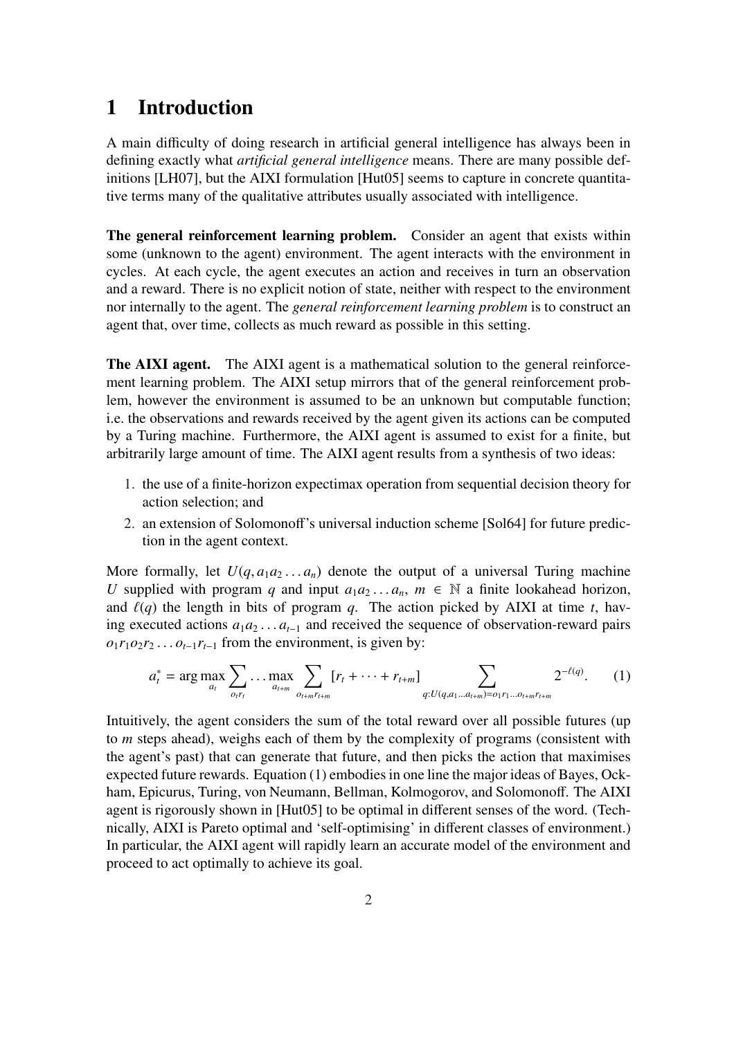# 1 Introduction

A main difficulty of doing research in artificial general intelligence has always been in defining exactly what *artificial general intelligence* means. There are many possible definitions [LH07], but the AIXI formulation [Hut05] seems to capture in concrete quantitative terms many of the qualitative attributes usually associated with intelligence.

The general reinforcement learning problem. Consider an agent that exists within some (unknown to the agent) environment. The agent interacts with the environment in cycles. At each cycle, the agent executes an action and receives in turn an observation and a reward. There is no explicit notion of state, neither with respect to the environment nor internally to the agent. The *general reinforcement learning problem* is to construct an agent that, over time, collects as much reward as possible in this setting.

The AIXI agent. The AIXI agent is a mathematical solution to the general reinforcement learning problem. The AIXI setup mirrors that of the general reinforcement problem, however the environment is assumed to be an unknown but computable function; i.e. the observations and rewards received by the agent given its actions can be computed by a Turing machine. Furthermore, the AIXI agent is assumed to exist for a finite, but arbitrarily large amount of time. The AIXI agent results from a synthesis of two ideas:

- 1. the use of a finite-horizon expectimax operation from sequential decision theory for action selection; and
- 2. an extension of Solomonoff's universal induction scheme [Sol64] for future prediction in the agent context.

More formally, let  $U(q, a_1 a_2 \ldots a_n)$  denote the output of a universal Turing machine *U* supplied with program *q* and input  $a_1a_2...a_n$ ,  $m \in \mathbb{N}$  a finite lookahead horizon, and  $\ell(q)$  the length in bits of program *q*. The action picked by AIXI at time *t*, having executed actions *a*1*a*<sup>2</sup> . . . *at*−<sup>1</sup> and received the sequence of observation-reward pairs  $o_1r_1o_2r_2 \ldots o_{t-1}r_{t-1}$  from the environment, is given by:

$$
a_t^* = \arg \max_{a_t} \sum_{o_t r_t} \dots \max_{a_{t+m}} \sum_{o_{t+m} r_{t+m}} [r_t + \dots + r_{t+m}] \sum_{q: U(q, a_1 \dots a_{t+m}) = o_1 r_1 \dots o_{t+m} r_{t+m}} 2^{-\ell(q)}.
$$
 (1)

Intuitively, the agent considers the sum of the total reward over all possible futures (up to *m* steps ahead), weighs each of them by the complexity of programs (consistent with the agent's past) that can generate that future, and then picks the action that maximises expected future rewards. Equation (1) embodies in one line the major ideas of Bayes, Ockham, Epicurus, Turing, von Neumann, Bellman, Kolmogorov, and Solomonoff. The AIXI agent is rigorously shown in [Hut05] to be optimal in different senses of the word. (Technically, AIXI is Pareto optimal and 'self-optimising' in different classes of environment.) In particular, the AIXI agent will rapidly learn an accurate model of the environment and proceed to act optimally to achieve its goal.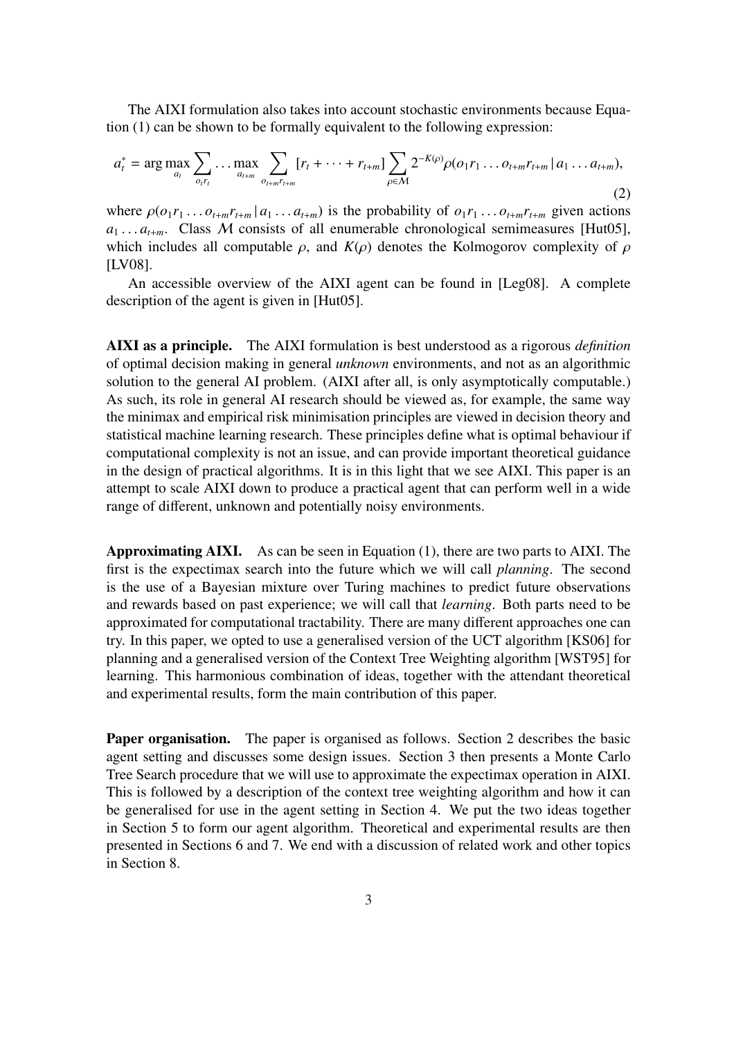The AIXI formulation also takes into account stochastic environments because Equation (1) can be shown to be formally equivalent to the following expression:

$$
a_t^* = \arg \max_{a_t} \sum_{o_{t}r_t} \dots \max_{a_{t+m}} \sum_{o_{t+m}r_{t+m}} [r_t + \dots + r_{t+m}] \sum_{\rho \in \mathcal{M}} 2^{-K(\rho)} \rho(o_1 r_1 \dots o_{t+m} r_{t+m} \mid a_1 \dots a_{t+m}),
$$
\n(2)

where  $\rho(o_1r_1 \ldots o_{t+m}r_{t+m} | a_1 \ldots a_{t+m})$  is the probability of  $o_1r_1 \ldots o_{t+m}r_{t+m}$  given actions  $a_1 \ldots a_{t+m}$ . Class M consists of all enumerable chronological semimeasures [Hut05], which includes all computable  $\rho$ , and  $K(\rho)$  denotes the Kolmogorov complexity of  $\rho$ [LV08].

An accessible overview of the AIXI agent can be found in [Leg08]. A complete description of the agent is given in [Hut05].

AIXI as a principle. The AIXI formulation is best understood as a rigorous *definition* of optimal decision making in general *unknown* environments, and not as an algorithmic solution to the general AI problem. (AIXI after all, is only asymptotically computable.) As such, its role in general AI research should be viewed as, for example, the same way the minimax and empirical risk minimisation principles are viewed in decision theory and statistical machine learning research. These principles define what is optimal behaviour if computational complexity is not an issue, and can provide important theoretical guidance in the design of practical algorithms. It is in this light that we see AIXI. This paper is an attempt to scale AIXI down to produce a practical agent that can perform well in a wide range of different, unknown and potentially noisy environments.

Approximating AIXI. As can be seen in Equation (1), there are two parts to AIXI. The first is the expectimax search into the future which we will call *planning*. The second is the use of a Bayesian mixture over Turing machines to predict future observations and rewards based on past experience; we will call that *learning*. Both parts need to be approximated for computational tractability. There are many different approaches one can try. In this paper, we opted to use a generalised version of the UCT algorithm [KS06] for planning and a generalised version of the Context Tree Weighting algorithm [WST95] for learning. This harmonious combination of ideas, together with the attendant theoretical and experimental results, form the main contribution of this paper.

Paper organisation. The paper is organised as follows. Section 2 describes the basic agent setting and discusses some design issues. Section 3 then presents a Monte Carlo Tree Search procedure that we will use to approximate the expectimax operation in AIXI. This is followed by a description of the context tree weighting algorithm and how it can be generalised for use in the agent setting in Section 4. We put the two ideas together in Section 5 to form our agent algorithm. Theoretical and experimental results are then presented in Sections 6 and 7. We end with a discussion of related work and other topics in Section 8.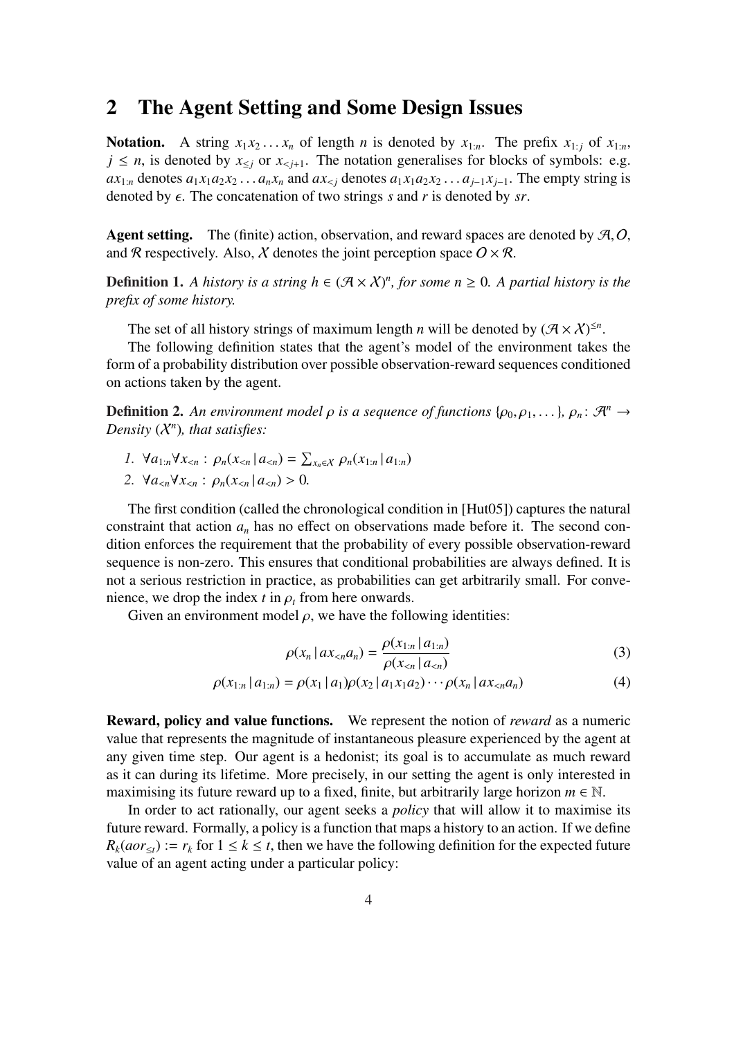### 2 The Agent Setting and Some Design Issues

Notation. A string  $x_1 x_2 \ldots x_n$  of length *n* is denoted by  $x_{1:n}$ . The prefix  $x_{1:i}$  of  $x_{1:n}$ ,  $j \leq n$ , is denoted by  $x_{\leq j}$  or  $x_{\leq j+1}$ . The notation generalises for blocks of symbols: e.g.  $ax_{1:n}$  denotes  $a_1x_1a_2x_2...a_nx_n$  and  $ax_{1:n}$  denotes  $a_1x_1a_2x_2...a_{j-1}x_{j-1}$ . The empty string is denoted by  $\epsilon$ . The concatenation of two strings *s* and *r* is denoted by *sr*.

Agent setting. The (finite) action, observation, and reward spaces are denoted by  $A, O$ , and R respectively. Also, X denotes the joint perception space  $O \times R$ .

**Definition 1.** A history is a string  $h \in (\mathcal{A} \times \mathcal{X})^n$ , for some  $n \geq 0$ . A partial history is the *prefix of some history.*

The set of all history strings of maximum length *n* will be denoted by  $(\mathcal{A} \times \mathcal{X})^{\leq n}$ .

The following definition states that the agent's model of the environment takes the form of a probability distribution over possible observation-reward sequences conditioned on actions taken by the agent.

**Definition 2.** An environment model  $\rho$  is a sequence of functions { $\rho_0, \rho_1, \ldots$ },  $\rho_n: \mathcal{A}^n \to$ *Density* (X*<sup>n</sup>* )*, that satisfies:*

- *1.*  $\forall a_{1:n} \forall x_{< n}$  :  $\rho_n(x_{< n} | a_{< n})$  =  $\overline{ }$ *<sup>x</sup>n*∈X ρ*n*(*x*1:*<sup>n</sup>* | *a*1:*n*)
- 2.  $\forall a_{\leq n} \forall x_{\leq n} : \rho_n(x_{\leq n} | a_{\leq n}) > 0.$

The first condition (called the chronological condition in [Hut05]) captures the natural constraint that action  $a_n$  has no effect on observations made before it. The second condition enforces the requirement that the probability of every possible observation-reward sequence is non-zero. This ensures that conditional probabilities are always defined. It is not a serious restriction in practice, as probabilities can get arbitrarily small. For convenience, we drop the index  $t$  in  $\rho_t$  from here onwards.

Given an environment model  $\rho$ , we have the following identities:

$$
\rho(x_n \mid ax_{\n(3)
$$

$$
\rho(x_{1:n} | a_{1:n}) = \rho(x_1 | a_1) \rho(x_2 | a_1 x_1 a_2) \cdots \rho(x_n | a x_{\n(4)
$$

Reward, policy and value functions. We represent the notion of *reward* as a numeric value that represents the magnitude of instantaneous pleasure experienced by the agent at any given time step. Our agent is a hedonist; its goal is to accumulate as much reward as it can during its lifetime. More precisely, in our setting the agent is only interested in maximising its future reward up to a fixed, finite, but arbitrarily large horizon  $m \in \mathbb{N}$ .

In order to act rationally, our agent seeks a *policy* that will allow it to maximise its future reward. Formally, a policy is a function that maps a history to an action. If we define  $R_k(aor_{\leq t}) := r_k$  for  $1 \leq k \leq t$ , then we have the following definition for the expected future value of an agent acting under a particular policy: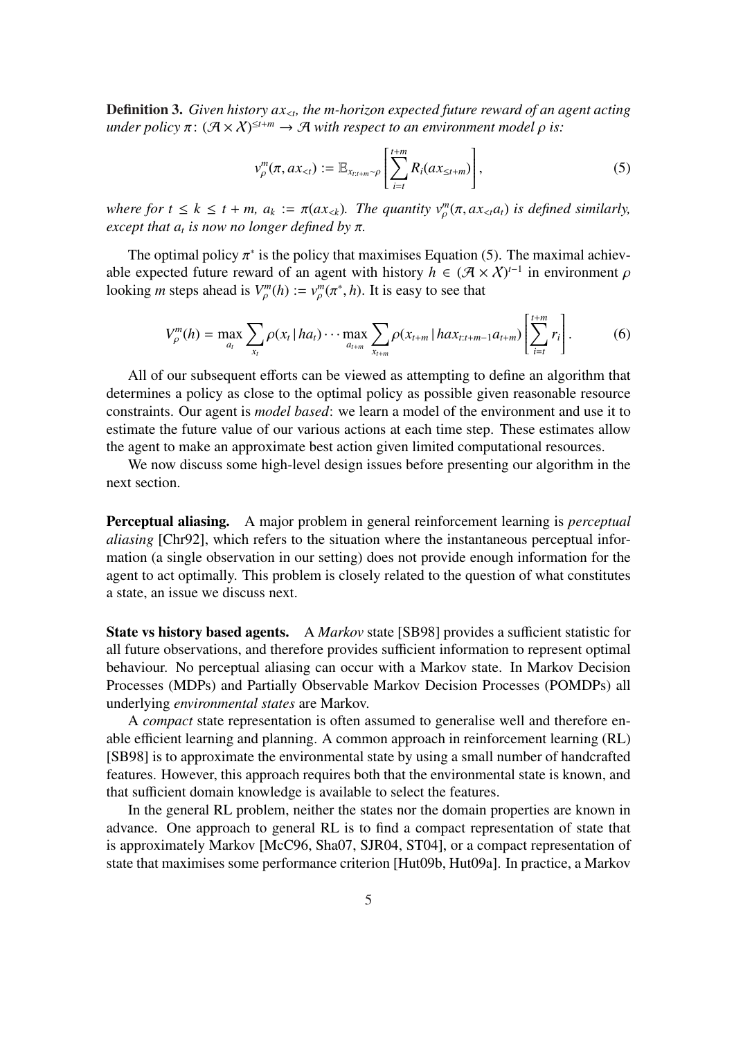Definition 3. *Given history ax*<*<sup>t</sup> , the m-horizon expected future reward of an agent acting*  $\mathcal{L}$  *under policy*  $\pi$ :  $(\mathcal{A} \times \mathcal{X})^{\leq t+m} \to \mathcal{A}$  *with respect to an environment model*  $\rho$  *is:* 

$$
v_{\rho}^{m}(\pi, ax_{ (5)
$$

*where for*  $t \leq k \leq t + m$ ,  $a_k := \pi(ax_{. The quantity  $v_p^m(\pi, ax_{ is defined similarly,$$ *except that a<sup>t</sup> is now no longer defined by* π*.*

The optimal policy  $\pi^*$  is the policy that maximises Equation (5). The maximal achievable expected future reward of an agent with history  $h \in (\mathcal{A} \times \mathcal{X})^{t-1}$  in environment  $\rho$ looking *m* steps ahead is  $V_{\rho}^{m}(h) := v_{\rho}^{m}(\pi^{*}, h)$ . It is easy to see that

$$
V_{\rho}^{m}(h) = \max_{a_{t}} \sum_{x_{t}} \rho(x_{t} | ha_{t}) \cdots \max_{a_{t+m}} \sum_{x_{t+m}} \rho(x_{t+m} | ha x_{t:t+m-1} a_{t+m}) \left[ \sum_{i=t}^{t+m} r_{i} \right].
$$
 (6)

All of our subsequent efforts can be viewed as attempting to define an algorithm that determines a policy as close to the optimal policy as possible given reasonable resource constraints. Our agent is *model based*: we learn a model of the environment and use it to estimate the future value of our various actions at each time step. These estimates allow the agent to make an approximate best action given limited computational resources.

We now discuss some high-level design issues before presenting our algorithm in the next section.

Perceptual aliasing. A major problem in general reinforcement learning is *perceptual aliasing* [Chr92], which refers to the situation where the instantaneous perceptual information (a single observation in our setting) does not provide enough information for the agent to act optimally. This problem is closely related to the question of what constitutes a state, an issue we discuss next.

State vs history based agents. A *Markov* state [SB98] provides a sufficient statistic for all future observations, and therefore provides sufficient information to represent optimal behaviour. No perceptual aliasing can occur with a Markov state. In Markov Decision Processes (MDPs) and Partially Observable Markov Decision Processes (POMDPs) all underlying *environmental states* are Markov.

A *compact* state representation is often assumed to generalise well and therefore enable efficient learning and planning. A common approach in reinforcement learning (RL) [SB98] is to approximate the environmental state by using a small number of handcrafted features. However, this approach requires both that the environmental state is known, and that sufficient domain knowledge is available to select the features.

In the general RL problem, neither the states nor the domain properties are known in advance. One approach to general RL is to find a compact representation of state that is approximately Markov [McC96, Sha07, SJR04, ST04], or a compact representation of state that maximises some performance criterion [Hut09b, Hut09a]. In practice, a Markov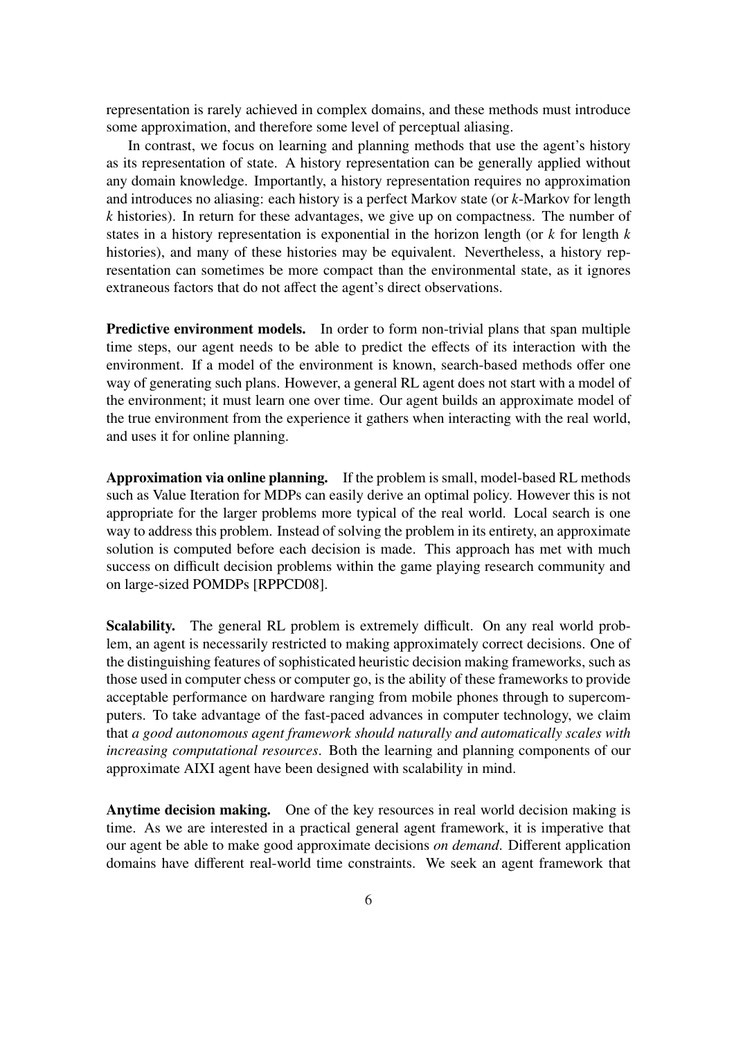representation is rarely achieved in complex domains, and these methods must introduce some approximation, and therefore some level of perceptual aliasing.

In contrast, we focus on learning and planning methods that use the agent's history as its representation of state. A history representation can be generally applied without any domain knowledge. Importantly, a history representation requires no approximation and introduces no aliasing: each history is a perfect Markov state (or *k*-Markov for length *k* histories). In return for these advantages, we give up on compactness. The number of states in a history representation is exponential in the horizon length (or *k* for length *k* histories), and many of these histories may be equivalent. Nevertheless, a history representation can sometimes be more compact than the environmental state, as it ignores extraneous factors that do not affect the agent's direct observations.

Predictive environment models. In order to form non-trivial plans that span multiple time steps, our agent needs to be able to predict the effects of its interaction with the environment. If a model of the environment is known, search-based methods offer one way of generating such plans. However, a general RL agent does not start with a model of the environment; it must learn one over time. Our agent builds an approximate model of the true environment from the experience it gathers when interacting with the real world, and uses it for online planning.

Approximation via online planning. If the problem is small, model-based RL methods such as Value Iteration for MDPs can easily derive an optimal policy. However this is not appropriate for the larger problems more typical of the real world. Local search is one way to address this problem. Instead of solving the problem in its entirety, an approximate solution is computed before each decision is made. This approach has met with much success on difficult decision problems within the game playing research community and on large-sized POMDPs [RPPCD08].

Scalability. The general RL problem is extremely difficult. On any real world problem, an agent is necessarily restricted to making approximately correct decisions. One of the distinguishing features of sophisticated heuristic decision making frameworks, such as those used in computer chess or computer go, is the ability of these frameworks to provide acceptable performance on hardware ranging from mobile phones through to supercomputers. To take advantage of the fast-paced advances in computer technology, we claim that *a good autonomous agent framework should naturally and automatically scales with increasing computational resources*. Both the learning and planning components of our approximate AIXI agent have been designed with scalability in mind.

Anytime decision making. One of the key resources in real world decision making is time. As we are interested in a practical general agent framework, it is imperative that our agent be able to make good approximate decisions *on demand*. Different application domains have different real-world time constraints. We seek an agent framework that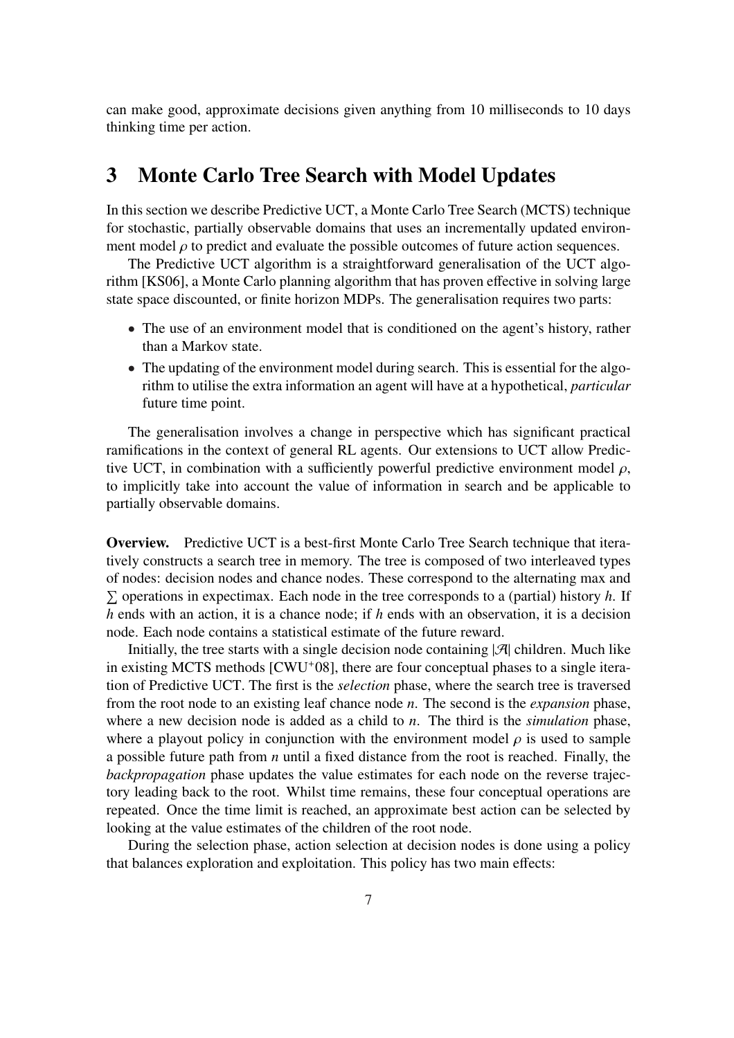can make good, approximate decisions given anything from 10 milliseconds to 10 days thinking time per action.

## 3 Monte Carlo Tree Search with Model Updates

In this section we describe Predictive UCT, a Monte Carlo Tree Search (MCTS) technique for stochastic, partially observable domains that uses an incrementally updated environment model  $\rho$  to predict and evaluate the possible outcomes of future action sequences.

The Predictive UCT algorithm is a straightforward generalisation of the UCT algorithm [KS06], a Monte Carlo planning algorithm that has proven effective in solving large state space discounted, or finite horizon MDPs. The generalisation requires two parts:

- The use of an environment model that is conditioned on the agent's history, rather than a Markov state.
- The updating of the environment model during search. This is essential for the algorithm to utilise the extra information an agent will have at a hypothetical, *particular* future time point.

The generalisation involves a change in perspective which has significant practical ramifications in the context of general RL agents. Our extensions to UCT allow Predictive UCT, in combination with a sufficiently powerful predictive environment model  $\rho$ , to implicitly take into account the value of information in search and be applicable to partially observable domains.

Overview. Predictive UCT is a best-first Monte Carlo Tree Search technique that iteratively constructs a search tree in memory. The tree is composed of two interleaved types of nodes: decision nodes and chance nodes. These correspond to the alternating max and P  $\Sigma$  operations in expectimax. Each node in the tree corresponds to a (partial) history *h*. If *h* ends with an action, it is a chance node; if *h* ends with an observation, it is a decision node. Each node contains a statistical estimate of the future reward.

Initially, the tree starts with a single decision node containing  $|\mathcal{A}|$  children. Much like in existing MCTS methods [CWU<sup>+</sup>08], there are four conceptual phases to a single iteration of Predictive UCT. The first is the *selection* phase, where the search tree is traversed from the root node to an existing leaf chance node *n*. The second is the *expansion* phase, where a new decision node is added as a child to *n*. The third is the *simulation* phase, where a playout policy in conjunction with the environment model  $\rho$  is used to sample a possible future path from *n* until a fixed distance from the root is reached. Finally, the *backpropagation* phase updates the value estimates for each node on the reverse trajectory leading back to the root. Whilst time remains, these four conceptual operations are repeated. Once the time limit is reached, an approximate best action can be selected by looking at the value estimates of the children of the root node.

During the selection phase, action selection at decision nodes is done using a policy that balances exploration and exploitation. This policy has two main effects: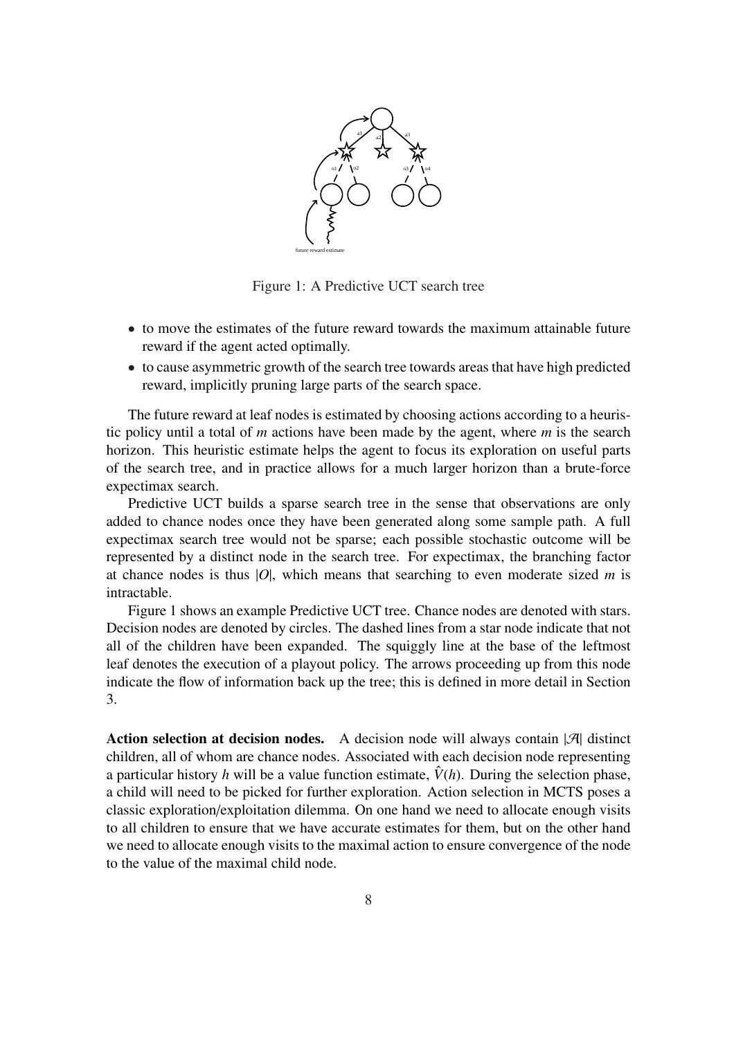

Figure 1: A Predictive UCT search tree

- to move the estimates of the future reward towards the maximum attainable future reward if the agent acted optimally.
- to cause asymmetric growth of the search tree towards areas that have high predicted reward, implicitly pruning large parts of the search space.

The future reward at leaf nodes is estimated by choosing actions according to a heuristic policy until a total of *m* actions have been made by the agent, where *m* is the search horizon. This heuristic estimate helps the agent to focus its exploration on useful parts of the search tree, and in practice allows for a much larger horizon than a brute-force expectimax search.

Predictive UCT builds a sparse search tree in the sense that observations are only added to chance nodes once they have been generated along some sample path. A full expectimax search tree would not be sparse; each possible stochastic outcome will be represented by a distinct node in the search tree. For expectimax, the branching factor at chance nodes is thus  $|O|$ , which means that searching to even moderate sized *m* is intractable.

Figure 1 shows an example Predictive UCT tree. Chance nodes are denoted with stars. Decision nodes are denoted by circles. The dashed lines from a star node indicate that not all of the children have been expanded. The squiggly line at the base of the leftmost leaf denotes the execution of a playout policy. The arrows proceeding up from this node indicate the flow of information back up the tree; this is defined in more detail in Section 3.

**Action selection at decision nodes.** A decision node will always contain  $|\mathcal{A}|$  distinct children, all of whom are chance nodes. Associated with each decision node representing a particular history *h* will be a value function estimate,  $\hat{V}(h)$ . During the selection phase, a child will need to be picked for further exploration. Action selection in MCTS poses a classic exploration/exploitation dilemma. On one hand we need to allocate enough visits to all children to ensure that we have accurate estimates for them, but on the other hand we need to allocate enough visits to the maximal action to ensure convergence of the node to the value of the maximal child node.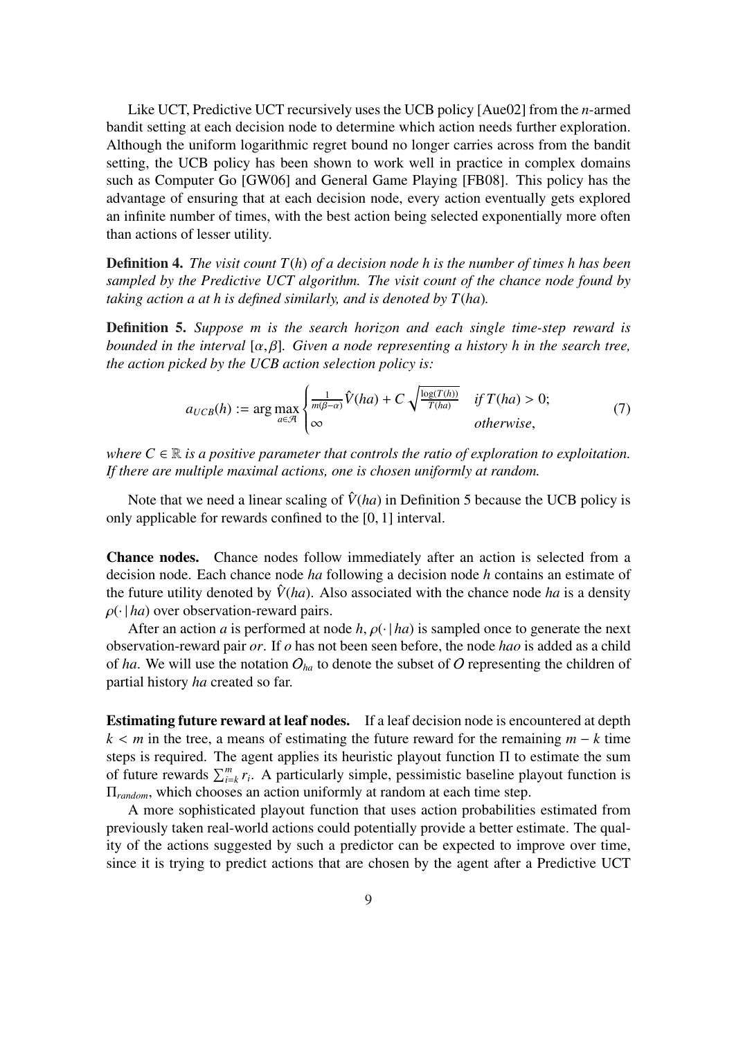Like UCT, Predictive UCT recursively uses the UCB policy [Aue02] from the *n*-armed bandit setting at each decision node to determine which action needs further exploration. Although the uniform logarithmic regret bound no longer carries across from the bandit setting, the UCB policy has been shown to work well in practice in complex domains such as Computer Go [GW06] and General Game Playing [FB08]. This policy has the advantage of ensuring that at each decision node, every action eventually gets explored an infinite number of times, with the best action being selected exponentially more often than actions of lesser utility.

Definition 4. *The visit count T*(*h*) *of a decision node h is the number of times h has been sampled by the Predictive UCT algorithm. The visit count of the chance node found by taking action a at h is defined similarly, and is denoted by T*(*ha*)*.*

Definition 5. *Suppose m is the search horizon and each single time-step reward is bounded in the interval* [α, β]*. Given a node representing a history h in the search tree, the action picked by the UCB action selection policy is:*

$$
a_{UCB}(h) := \arg\max_{a \in \mathcal{A}} \begin{cases} \frac{1}{m(\beta - \alpha)} \hat{V}(ha) + C \sqrt{\frac{\log(T(h))}{T(ha)}} & \text{if } T(ha) > 0; \\ \infty & \text{otherwise,} \end{cases}
$$
(7)

*where*  $C \in \mathbb{R}$  *is a positive parameter that controls the ratio of exploration to exploitation. If there are multiple maximal actions, one is chosen uniformly at random.*

Note that we need a linear scaling of  $\hat{V}(ha)$  in Definition 5 because the UCB policy is only applicable for rewards confined to the [0, 1] interval.

Chance nodes. Chance nodes follow immediately after an action is selected from a decision node. Each chance node *ha* following a decision node *h* contains an estimate of the future utility denoted by  $\hat{V}$ (*ha*). Also associated with the chance node *ha* is a density  $\rho(\cdot | ha)$  over observation-reward pairs.

After an action *a* is performed at node *h*,  $\rho(\cdot | ha)$  is sampled once to generate the next observation-reward pair *or*. If *o* has not been seen before, the node *hao* is added as a child of *ha*. We will use the notation  $O_{ha}$  to denote the subset of O representing the children of partial history *ha* created so far.

Estimating future reward at leaf nodes. If a leaf decision node is encountered at depth  $k < m$  in the tree, a means of estimating the future reward for the remaining  $m - k$  time steps is required. The agent applies its heuristic playout function  $\Pi$  to estimate the sum steps is required. The agent applies its neutristic playout function in to estimate the sum<br>of future rewards  $\sum_{i=k}^{m} r_i$ . A particularly simple, pessimistic baseline playout function is Π*random*, which chooses an action uniformly at random at each time step.

A more sophisticated playout function that uses action probabilities estimated from previously taken real-world actions could potentially provide a better estimate. The quality of the actions suggested by such a predictor can be expected to improve over time, since it is trying to predict actions that are chosen by the agent after a Predictive UCT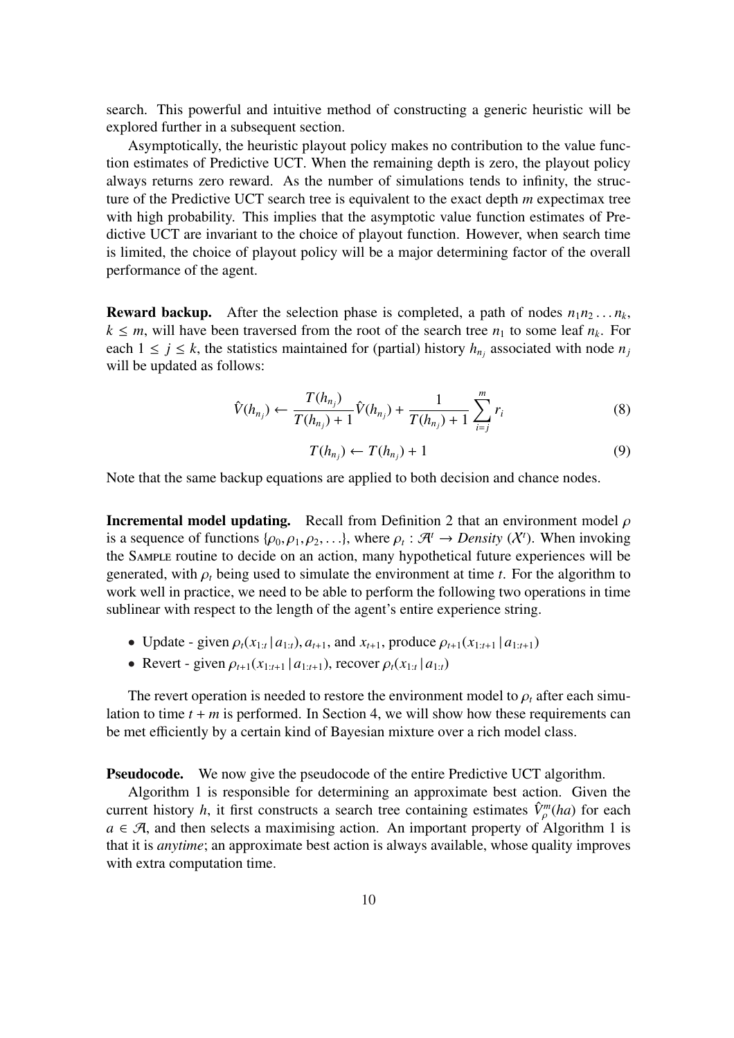search. This powerful and intuitive method of constructing a generic heuristic will be explored further in a subsequent section.

Asymptotically, the heuristic playout policy makes no contribution to the value function estimates of Predictive UCT. When the remaining depth is zero, the playout policy always returns zero reward. As the number of simulations tends to infinity, the structure of the Predictive UCT search tree is equivalent to the exact depth *m* expectimax tree with high probability. This implies that the asymptotic value function estimates of Predictive UCT are invariant to the choice of playout function. However, when search time is limited, the choice of playout policy will be a major determining factor of the overall performance of the agent.

**Reward backup.** After the selection phase is completed, a path of nodes  $n_1 n_2 \ldots n_k$ ,  $k \leq m$ , will have been traversed from the root of the search tree  $n_1$  to some leaf  $n_k$ . For each  $1 \leq j \leq k$ , the statistics maintained for (partial) history  $h_{n_j}$  associated with node  $n_j$ will be updated as follows:

$$
\hat{V}(h_{n_j}) \leftarrow \frac{T(h_{n_j})}{T(h_{n_j}) + 1} \hat{V}(h_{n_j}) + \frac{1}{T(h_{n_j}) + 1} \sum_{i=j}^{m} r_i
$$
\n(8)

$$
T(h_{n_j}) \leftarrow T(h_{n_j}) + 1 \tag{9}
$$

Note that the same backup equations are applied to both decision and chance nodes.

**Incremental model updating.** Recall from Definition 2 that an environment model  $\rho$ is a sequence of functions  $\{\rho_0, \rho_1, \rho_2, \ldots\}$ , where  $\rho_t : \mathcal{A}^t \to Density(X^t)$ . When invoking the Sample routine to decide on an action, many hypothetical future experiences will be generated, with  $\rho_t$  being used to simulate the environment at time *t*. For the algorithm to work well in practice, we need to be able to perform the following two operations in time sublinear with respect to the length of the agent's entire experience string.

- Update given  $\rho_t(x_{1:t} | a_{1:t}), a_{t+1}$ , and  $x_{t+1}$ , produce  $\rho_{t+1}(x_{1:t+1} | a_{1:t+1})$
- Revert given  $\rho_{t+1}(x_{1:t+1} | a_{1:t+1})$ , recover  $\rho_t(x_{1:t} | a_{1:t})$

The revert operation is needed to restore the environment model to  $\rho_t$  after each simulation to time  $t + m$  is performed. In Section 4, we will show how these requirements can be met efficiently by a certain kind of Bayesian mixture over a rich model class.

Pseudocode. We now give the pseudocode of the entire Predictive UCT algorithm.

Algorithm 1 is responsible for determining an approximate best action. Given the current history *h*, it first constructs a search tree containing estimates  $\hat{V}^m_{\rho}(ha)$  for each  $a \in \mathcal{A}$ , and then selects a maximising action. An important property of Algorithm 1 is that it is *anytime*; an approximate best action is always available, whose quality improves with extra computation time.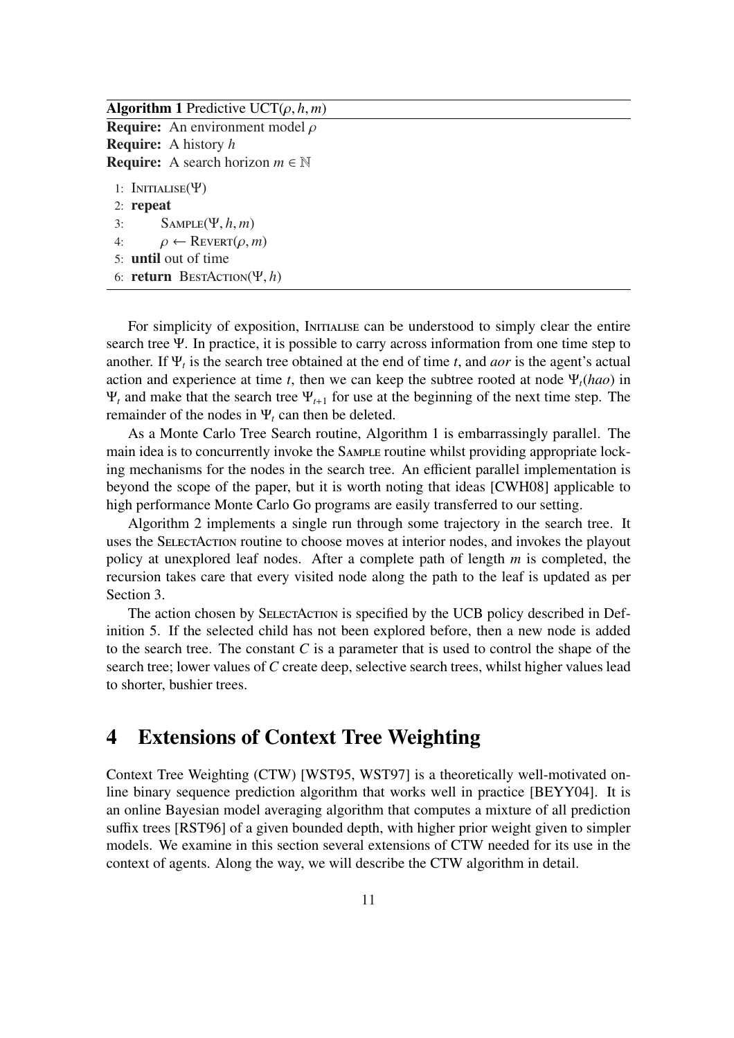Algorithm 1 Predictive UCT $(\rho, h, m)$ **Require:** An environment model  $\rho$ Require: A history *h* **Require:** A search horizon  $m \in \mathbb{N}$ 1: INITIALISE $(\Psi)$ 2: repeat 3: Sample(Ψ, *h*, *m*) 4:  $\rho \leftarrow \text{REVERT}(\rho, m)$ 5: until out of time 6: return BestAction(Ψ, *h*)

For simplicity of exposition, INITIALISE can be understood to simply clear the entire search tree Ψ. In practice, it is possible to carry across information from one time step to another. If Ψ*<sup>t</sup>* is the search tree obtained at the end of time *t*, and *aor* is the agent's actual action and experience at time *t*, then we can keep the subtree rooted at node  $\Psi_t(hao)$  in  $\Psi_t$  and make that the search tree  $\Psi_{t+1}$  for use at the beginning of the next time step. The remainder of the nodes in  $\Psi_t$  can then be deleted.

As a Monte Carlo Tree Search routine, Algorithm 1 is embarrassingly parallel. The main idea is to concurrently invoke the SAMPLE routine whilst providing appropriate locking mechanisms for the nodes in the search tree. An efficient parallel implementation is beyond the scope of the paper, but it is worth noting that ideas [CWH08] applicable to high performance Monte Carlo Go programs are easily transferred to our setting.

Algorithm 2 implements a single run through some trajectory in the search tree. It uses the SelectAction routine to choose moves at interior nodes, and invokes the playout policy at unexplored leaf nodes. After a complete path of length *m* is completed, the recursion takes care that every visited node along the path to the leaf is updated as per Section 3.

The action chosen by SELECTACTION is specified by the UCB policy described in Definition 5. If the selected child has not been explored before, then a new node is added to the search tree. The constant *C* is a parameter that is used to control the shape of the search tree; lower values of *C* create deep, selective search trees, whilst higher values lead to shorter, bushier trees.

### 4 Extensions of Context Tree Weighting

Context Tree Weighting (CTW) [WST95, WST97] is a theoretically well-motivated online binary sequence prediction algorithm that works well in practice [BEYY04]. It is an online Bayesian model averaging algorithm that computes a mixture of all prediction suffix trees [RST96] of a given bounded depth, with higher prior weight given to simpler models. We examine in this section several extensions of CTW needed for its use in the context of agents. Along the way, we will describe the CTW algorithm in detail.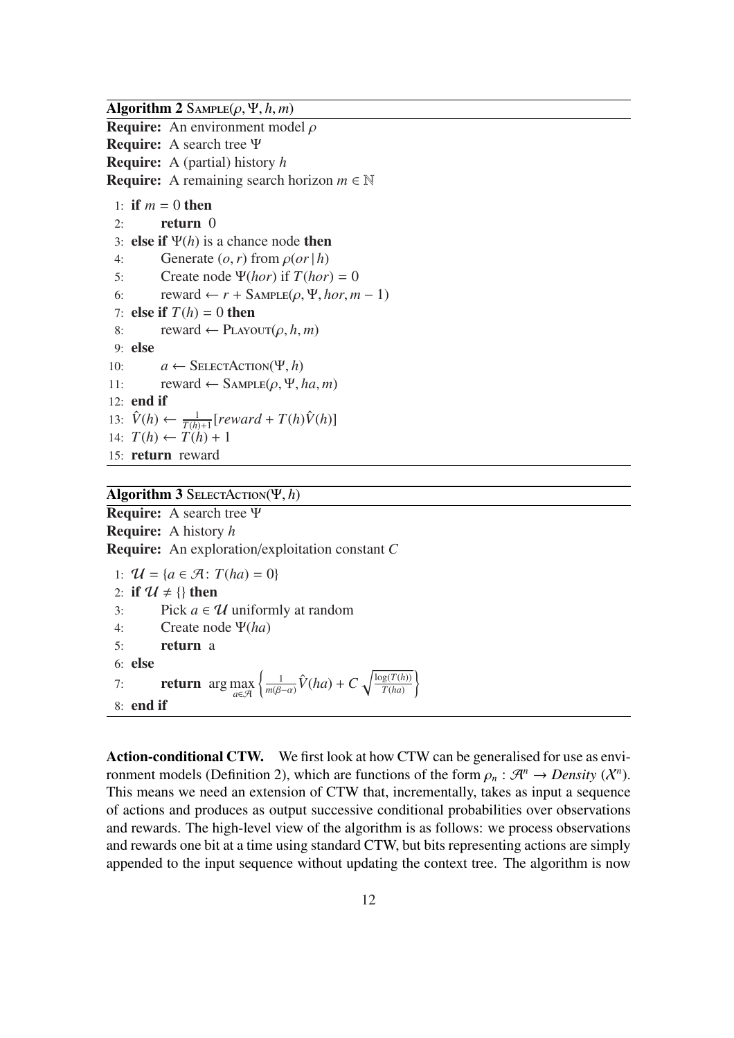Algorithm 2  $\text{Sample}(\rho, \Psi, h, m)$ 

**Require:** An environment model  $\rho$ 

Require: A search tree Ψ Require: A (partial) history *h*

**Require:** A remaining search horizon  $m \in \mathbb{N}$ 

```
1: if m = 0 then
 2: return 03: else if \Psi(h) is a chance node then
 4: Generate (o, r) from \rho (or|h)5: Create node \Psi(hor) if T(hor) = 06: reward \leftarrow r + \text{Sample}(\rho, \Psi, \text{hor}, m - 1)7: else if T(h) = 0 then
 8: reward \leftarrow PLAYOUT(\rho, h, m)9: else
10: a \leftarrow SELECTACTION(\Psi, h)
11: reward \leftarrow SAMPLE(\rho, \Psi, ha, m)
12: end if
13: \hat{V}(h) \leftarrow \frac{1}{T(h)+1} [reward + T(h)\hat{V}(h)]14: T(h) \leftarrow T(h) + 115: return reward
```
#### Algorithm 3 SelectAction(Ψ, *h*)

Require: A search tree Ψ Require: A history *h* Require: An exploration/exploitation constant *C*

```
1: U = \{a \in \mathcal{A} : T(ha) = 0\}2: if \mathcal{U} \neq \{\}\ then
3: Pick a \in \mathcal{U} uniformly at random
4: Create node Ψ(ha)
5: return a
6: else
6: else<br>7: return arg max \left\{\n\begin{array}{l}\n\text{max} \\
\text{max}\n\end{array}\n\right.1
                                            \frac{1}{m(\beta-\alpha)}\hat{V}(ha)+C\sqrt{\log(T(h))}T(ha)
                                                                                      \mathbf{r}8: end if
```
Action-conditional CTW. We first look at how CTW can be generalised for use as environment models (Definition 2), which are functions of the form  $\rho_n : \mathcal{A}^n \to Density(X^n)$ . This means we need an extension of CTW that, incrementally, takes as input a sequence of actions and produces as output successive conditional probabilities over observations and rewards. The high-level view of the algorithm is as follows: we process observations and rewards one bit at a time using standard CTW, but bits representing actions are simply appended to the input sequence without updating the context tree. The algorithm is now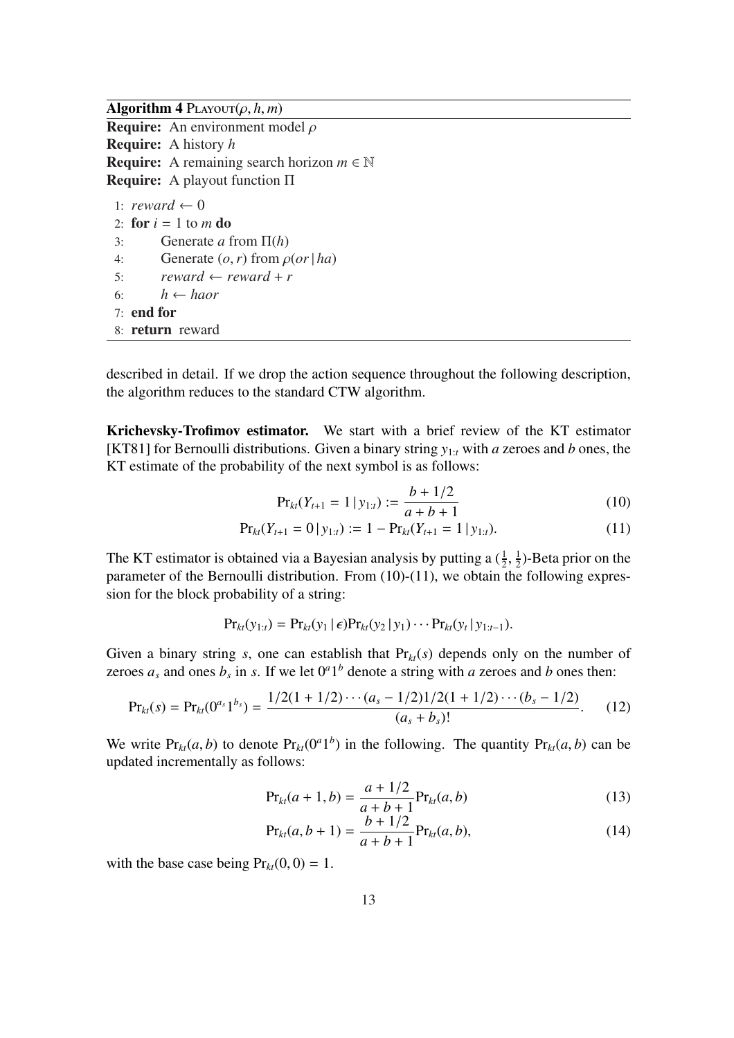Algorithm 4  $PLAVOUT(\rho, h, m)$ 

**Require:** An environment model  $\rho$ Require: A history *h* **Require:** A remaining search horizon  $m \in \mathbb{N}$ Require: A playout function Π 1: *reward*  $\leftarrow 0$ 2: for  $i = 1$  to  $m$  do 3: Generate *a* from Π(*h*) 4: Generate  $(o, r)$  from  $\rho (or | ha)$ 5:  $reward \leftarrow reward + r$ 

- 6:  $h \leftarrow \text{h a}$
- 7: end for
- 8: return reward

described in detail. If we drop the action sequence throughout the following description, the algorithm reduces to the standard CTW algorithm.

Krichevsky-Trofimov estimator. We start with a brief review of the KT estimator [KT81] for Bernoulli distributions. Given a binary string *y*1:*<sup>t</sup>* with *a* zeroes and *b* ones, the KT estimate of the probability of the next symbol is as follows:

$$
\Pr_{kt}(Y_{t+1} = 1 \mid y_{1:t}) := \frac{b + 1/2}{a + b + 1} \tag{10}
$$

$$
\Pr_{kt}(Y_{t+1} = 0 | y_{1:t}) := 1 - \Pr_{kt}(Y_{t+1} = 1 | y_{1:t}). \tag{11}
$$

The KT estimator is obtained via a Bayesian analysis by putting a  $(\frac{1}{2}, \frac{1}{2})$  $\frac{1}{2}$ )-Beta prior on the parameter of the Bernoulli distribution. From (10)-(11), we obtain the following expression for the block probability of a string:

$$
Pr_{kt}(y_{1:t}) = Pr_{kt}(y_1 | \epsilon) Pr_{kt}(y_2 | y_1) \cdots Pr_{kt}(y_t | y_{1:t-1}).
$$

Given a binary string *s*, one can establish that  $Pr_{kt}(s)$  depends only on the number of zeroes  $a_s$  and ones  $b_s$  in *s*. If we let  $0^a1^b$  denote a string with *a* zeroes and *b* ones then:

$$
\Pr_{kt}(s) = \Pr_{kt}(0^{a_s}1^{b_s}) = \frac{1/2(1+1/2)\cdots(a_s-1/2)1/2(1+1/2)\cdots(b_s-1/2)}{(a_s+b_s)!}.
$$
 (12)

We write  $Pr_{kt}(a, b)$  to denote  $Pr_{kt}(0^a 1^b)$  in the following. The quantity  $Pr_{kt}(a, b)$  can be updated incrementally as follows:

$$
Pr_{kt}(a+1,b) = \frac{a+1/2}{a+b+1} Pr_{kt}(a,b)
$$
\n(13)

$$
Pr_{kt}(a, b+1) = \frac{b+1/2}{a+b+1} Pr_{kt}(a, b),
$$
\n(14)

with the base case being  $Pr_{kt}(0, 0) = 1$ .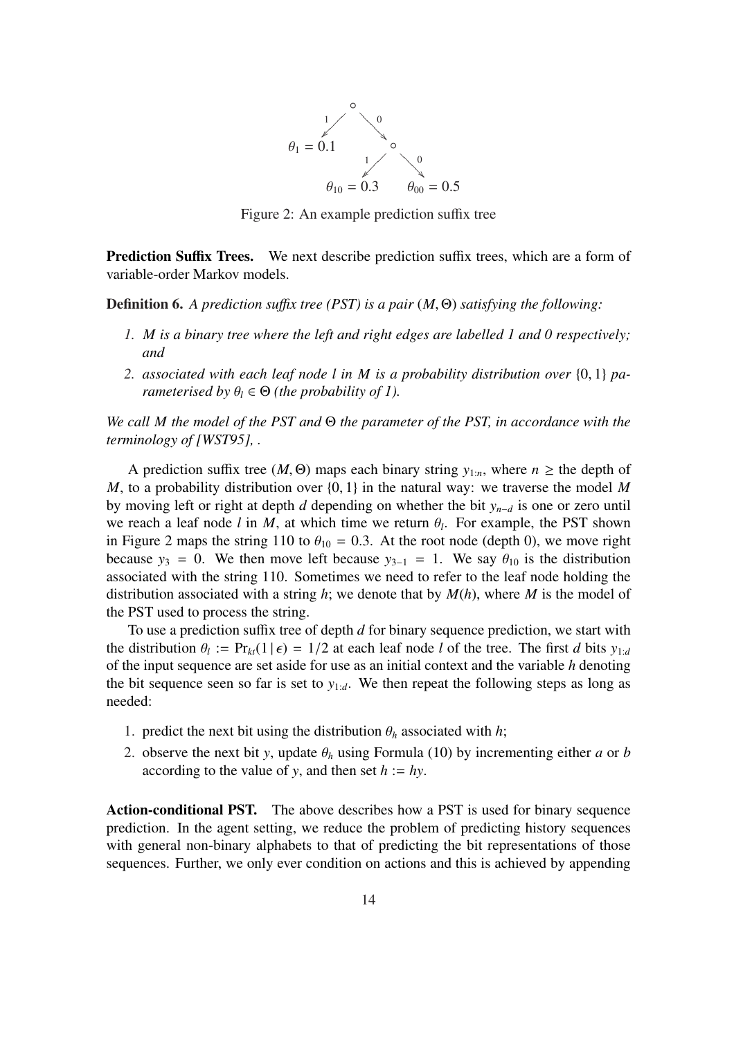

Figure 2: An example prediction suffix tree

Prediction Suffix Trees. We next describe prediction suffix trees, which are a form of variable-order Markov models.

Definition 6. *A prediction su*ffi*x tree (PST) is a pair* (*M*, Θ) *satisfying the following:*

- *1. M is a binary tree where the left and right edges are labelled 1 and 0 respectively; and*
- *2. associated with each leaf node l in M is a probability distribution over* {0, 1} *parameterised by*  $\theta_l \in \Theta$  *(the probability of 1).*

*We call M the model of the PST and* Θ *the parameter of the PST, in accordance with the terminology of [WST95], .*

A prediction suffix tree (*M*,  $\Theta$ ) maps each binary string  $y_{1:n}$ , where  $n \geq$  the depth of *M*, to a probability distribution over {0, 1} in the natural way: we traverse the model *M* by moving left or right at depth *d* depending on whether the bit *yn*−*<sup>d</sup>* is one or zero until we reach a leaf node  $l$  in  $M$ , at which time we return  $\theta_l$ . For example, the PST shown in Figure 2 maps the string 110 to  $\theta_{10} = 0.3$ . At the root node (depth 0), we move right because  $y_3 = 0$ . We then move left because  $y_{3-1} = 1$ . We say  $\theta_{10}$  is the distribution associated with the string 110. Sometimes we need to refer to the leaf node holding the distribution associated with a string *h*; we denote that by *M*(*h*), where *M* is the model of the PST used to process the string.

To use a prediction suffix tree of depth *d* for binary sequence prediction, we start with the distribution  $\theta_l := \Pr_{kt}(1|\epsilon) = 1/2$  at each leaf node *l* of the tree. The first *d* bits  $y_{1:d}$ of the input sequence are set aside for use as an initial context and the variable *h* denoting the bit sequence seen so far is set to  $y_{1:d}$ . We then repeat the following steps as long as needed:

- 1. predict the next bit using the distribution  $\theta_h$  associated with *h*;
- 2. observe the next bit *y*, update  $\theta_h$  using Formula (10) by incrementing either *a* or *b* according to the value of *y*, and then set  $h := hy$ .

Action-conditional PST. The above describes how a PST is used for binary sequence prediction. In the agent setting, we reduce the problem of predicting history sequences with general non-binary alphabets to that of predicting the bit representations of those sequences. Further, we only ever condition on actions and this is achieved by appending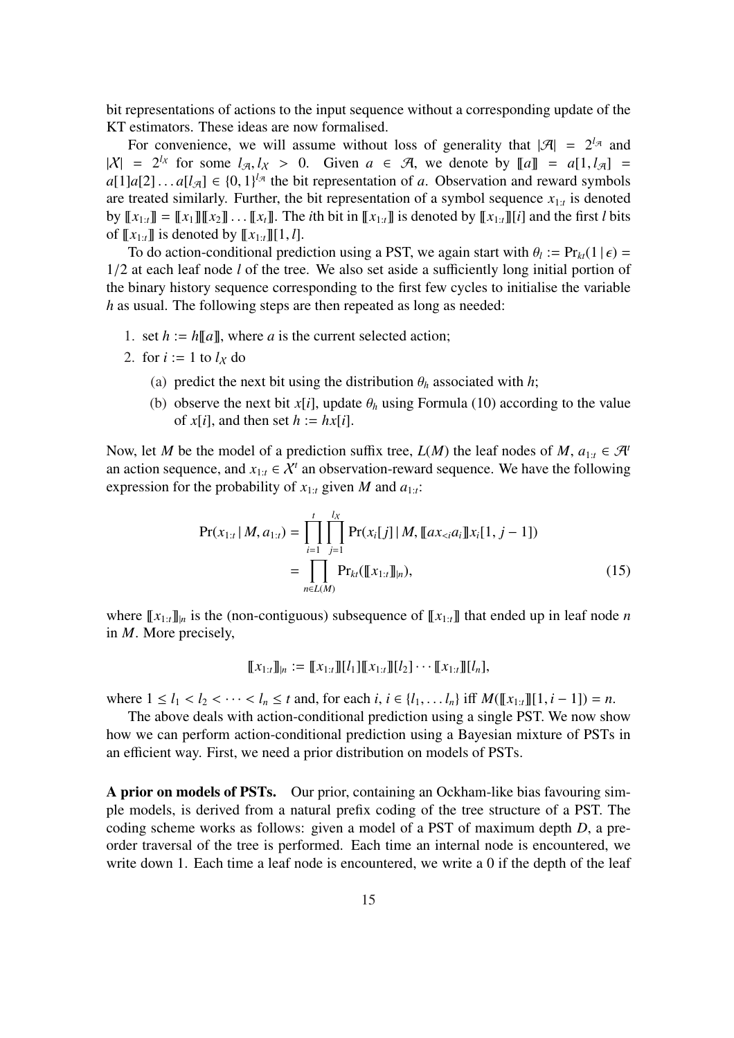bit representations of actions to the input sequence without a corresponding update of the KT estimators. These ideas are now formalised.

For convenience, we will assume without loss of generality that  $|\mathcal{A}| = 2^{l_{\mathcal{A}}}$  and  $|X| = 2^{l_X}$  for some  $l_{\mathcal{A}}, l_X > 0$ . Given  $a \in \mathcal{A}$ , we denote by  $[[a]] = a[1, l_{\mathcal{A}}] =$  $a[1]a[2] \dots a[l_{\mathcal{A}}] \in \{0,1\}^{l_{\mathcal{A}}}$  the bit representation of *a*. Observation and reward symbols are treated similarly. Further, the bit representation of a symbol sequence  $x_{1:t}$  is denoted by  $[[x_{1:t}]] = [[x_1]][[x_2]] \dots [[x_t]]$ . The *i*th bit in  $[[x_{1:t}]]$  is denoted by  $[[x_{1:t}]][i]$  and the first *l* bits of  $[[x_{1:t}]]$  is denoted by  $[[x_{1:t}]][1, l].$ 

To do action-conditional prediction using a PST, we again start with  $\theta_l := Pr_{kt}(1 | \epsilon)$ 1/2 at each leaf node *l* of the tree. We also set aside a sufficiently long initial portion of the binary history sequence corresponding to the first few cycles to initialise the variable *h* as usual. The following steps are then repeated as long as needed:

- 1. set  $h := h[[a]]$ , where *a* is the current selected action;
- 2. for  $i := 1$  to  $l_X$  do
	- (a) predict the next bit using the distribution  $\theta_h$  associated with *h*;
	- (b) observe the next bit *x*[*i*], update  $\theta_h$  using Formula (10) according to the value of  $x[i]$ , and then set  $h := hx[i]$ .

Now, let *M* be the model of a prediction suffix tree,  $L(M)$  the leaf nodes of *M*,  $a_{1:t} \in \mathcal{H}^t$ an action sequence, and  $x_{1:t} \in \mathcal{X}^t$  an observation-reward sequence. We have the following expression for the probability of  $x_{1:t}$  given *M* and  $a_{1:t}$ :

$$
Pr(x_{1:t} | M, a_{1:t}) = \prod_{i=1}^{t} \prod_{j=1}^{l_X} Pr(x_i[j] | M, [\![ax_{&i}a_i]\!] x_i[1, j-1])
$$
  
= 
$$
\prod_{n \in L(M)} Pr_{kt}([\![x_{1:t}]\!]_{n}),
$$
 (15)

where  $\llbracket x_{1:t} \rrbracket$  is the (non-contiguous) subsequence of  $\llbracket x_{1:t} \rrbracket$  that ended up in leaf node *n* in *M*. More precisely,

$$
[\![x_{1:t}]\!]_{n} := [\![x_{1:t}]\!] [\![l_1]\!] [\![x_{1:t}]\!] [\![l_2]\!] \cdots [\![x_{1:t}]\!] [\![l_n]\!],
$$

where  $1 \le l_1 < l_2 < \cdots < l_n \le t$  and, for each  $i, i \in \{l_1, \ldots l_n\}$  iff  $M([\![x_{1:t}]\!][1, i-1]) = n$ .

The above deals with action-conditional prediction using a single PST. We now show how we can perform action-conditional prediction using a Bayesian mixture of PSTs in an efficient way. First, we need a prior distribution on models of PSTs.

A prior on models of PSTs. Our prior, containing an Ockham-like bias favouring simple models, is derived from a natural prefix coding of the tree structure of a PST. The coding scheme works as follows: given a model of a PST of maximum depth *D*, a preorder traversal of the tree is performed. Each time an internal node is encountered, we write down 1. Each time a leaf node is encountered, we write a 0 if the depth of the leaf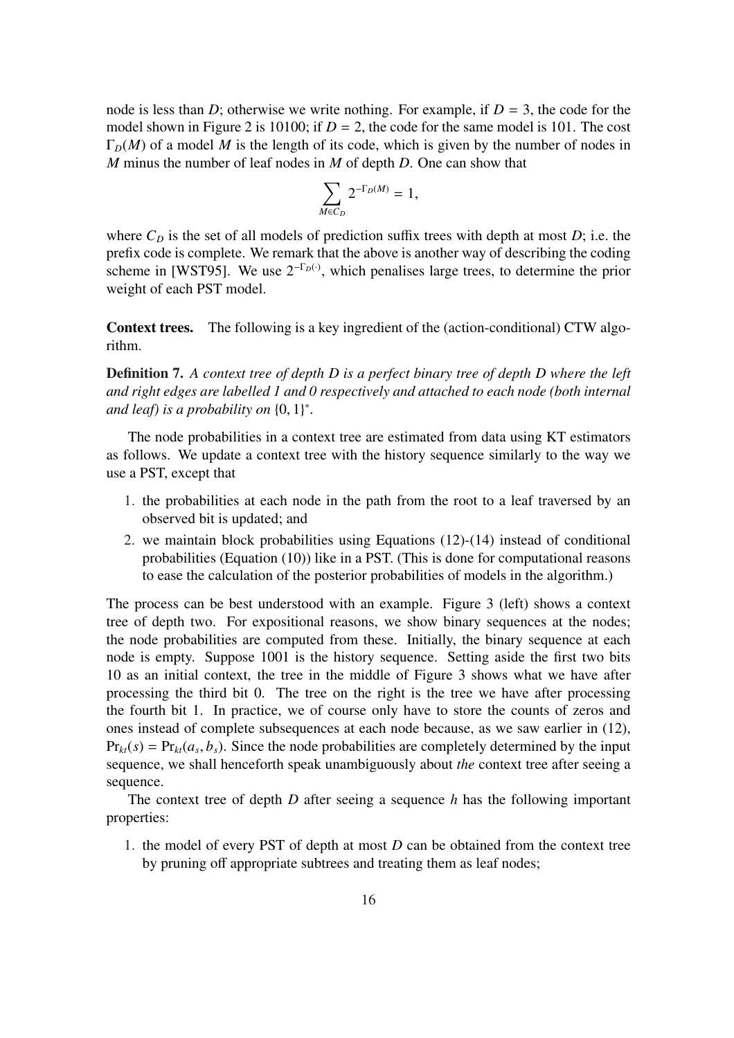node is less than *D*; otherwise we write nothing. For example, if  $D = 3$ , the code for the model shown in Figure 2 is 10100; if  $D = 2$ , the code for the same model is 101. The cost  $\Gamma_D(M)$  of a model M is the length of its code, which is given by the number of nodes in *M* minus the number of leaf nodes in *M* of depth *D*. One can show that

$$
\sum_{M\in C_D} 2^{-\Gamma_D(M)}=1,
$$

where  $C_D$  is the set of all models of prediction suffix trees with depth at most  $D$ ; i.e. the prefix code is complete. We remark that the above is another way of describing the coding scheme in [WST95]. We use  $2^{-\Gamma_D(\cdot)}$ , which penalises large trees, to determine the prior weight of each PST model.

Context trees. The following is a key ingredient of the (action-conditional) CTW algorithm.

Definition 7. *A context tree of depth D is a perfect binary tree of depth D where the left and right edges are labelled 1 and 0 respectively and attached to each node (both internal and leaf) is a probability on* {0, 1} ∗ *.*

The node probabilities in a context tree are estimated from data using KT estimators as follows. We update a context tree with the history sequence similarly to the way we use a PST, except that

- 1. the probabilities at each node in the path from the root to a leaf traversed by an observed bit is updated; and
- 2. we maintain block probabilities using Equations (12)-(14) instead of conditional probabilities (Equation (10)) like in a PST. (This is done for computational reasons to ease the calculation of the posterior probabilities of models in the algorithm.)

The process can be best understood with an example. Figure 3 (left) shows a context tree of depth two. For expositional reasons, we show binary sequences at the nodes; the node probabilities are computed from these. Initially, the binary sequence at each node is empty. Suppose 1001 is the history sequence. Setting aside the first two bits 10 as an initial context, the tree in the middle of Figure 3 shows what we have after processing the third bit 0. The tree on the right is the tree we have after processing the fourth bit 1. In practice, we of course only have to store the counts of zeros and ones instead of complete subsequences at each node because, as we saw earlier in (12),  $Pr_{kt}(s) = Pr_{kt}(a_s, b_s)$ . Since the node probabilities are completely determined by the input sequence, we shall henceforth speak unambiguously about *the* context tree after seeing a sequence.

The context tree of depth *D* after seeing a sequence *h* has the following important properties:

1. the model of every PST of depth at most *D* can be obtained from the context tree by pruning off appropriate subtrees and treating them as leaf nodes;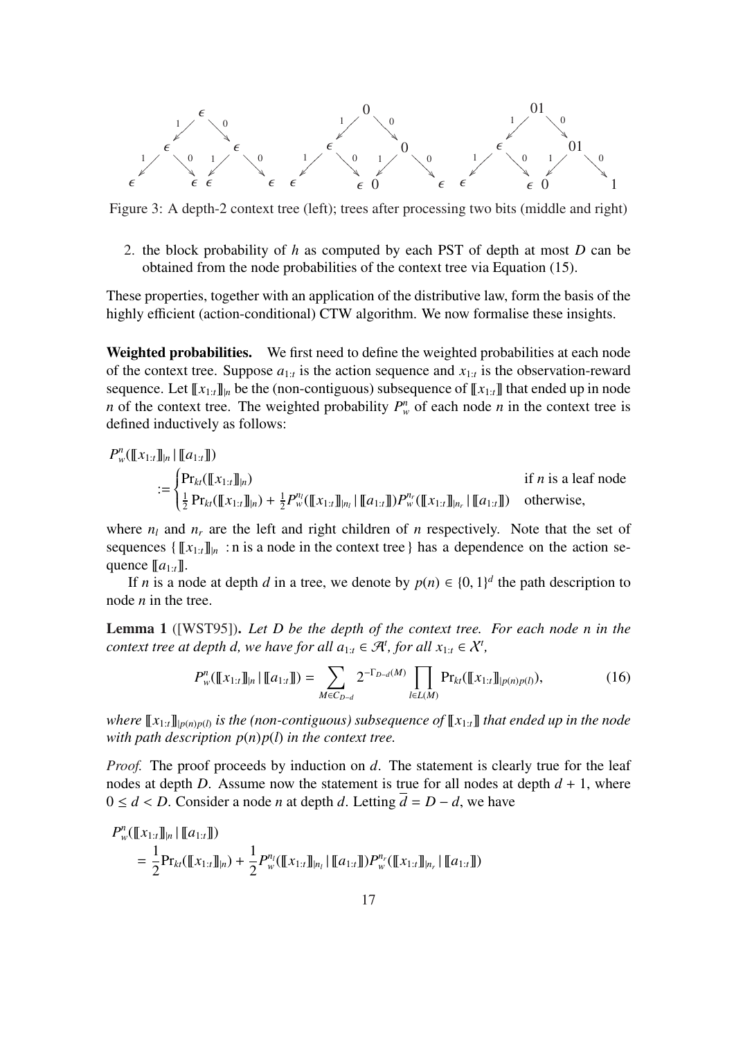

Figure 3: A depth-2 context tree (left); trees after processing two bits (middle and right)

2. the block probability of *h* as computed by each PST of depth at most *D* can be obtained from the node probabilities of the context tree via Equation (15).

These properties, together with an application of the distributive law, form the basis of the highly efficient (action-conditional) CTW algorithm. We now formalise these insights.

Weighted probabilities. We first need to define the weighted probabilities at each node of the context tree. Suppose  $a_{1:t}$  is the action sequence and  $x_{1:t}$  is the observation-reward sequence. Let  $\llbracket x_{1:t} \rrbracket$  be the (non-contiguous) subsequence of  $\llbracket x_{1:t} \rrbracket$  that ended up in node *n* of the context tree. The weighted probability  $P_w^n$  of each node *n* in the context tree is defined inductively as follows:

$$
P_w^n([\![x_{1:t}]\!]_{|n} | [\![a_{1:t}]\!])
$$
\n
$$
:= \begin{cases} \Pr_{kt}([\![x_{1:t}]\!]_{|n}) & \text{if } n \text{ is a leaf node} \\ \frac{1}{2} \Pr_{kt}([\![x_{1:t}]\!]_{|n}) + \frac{1}{2} P_w^n([\![x_{1:t}]\!]_{|n_l} | [\![a_{1:t}]\!]) P_w^{n_r}([\![x_{1:t}]\!]_{|n_r} | [\![a_{1:t}]\!]) & \text{otherwise,} \end{cases}
$$

where  $n_l$  and  $n_r$  are the left and right children of *n* respectively. Note that the set of sequences  $\{\llbracket x_{1:t} \rrbracket_{n}:$  n is a node in the context tree } has a dependence on the action sequence  $[a_{1:t}]$ .

If *n* is a node at depth *d* in a tree, we denote by  $p(n) \in \{0, 1\}^d$  the path description to node *n* in the tree.

Lemma 1 ([WST95]). *Let D be the depth of the context tree. For each node n in the context tree at depth d, we have for all*  $a_{1:t} \in \mathcal{A}^t$ *, for all*  $x_{1:t} \in \mathcal{X}^t$ *,* 

$$
P_w^n(\llbracket x_{1:t} \rrbracket_{|n} \mid \llbracket a_{1:t} \rrbracket) = \sum_{M \in C_{D-d}} 2^{-\Gamma_{D-d}(M)} \prod_{l \in L(M)} \Pr_{kt}(\llbracket x_{1:t} \rrbracket_{|p(n)p(l)}), \tag{16}
$$

 $w$ *here*  $\llbracket x_{1:t} \rrbracket_{p(n)p(l)}$  is the (non-contiguous) subsequence of  $\llbracket x_{1:t} \rrbracket$  that ended up in the node *with path description*  $p(n)p(l)$  *in the context tree.* 

*Proof.* The proof proceeds by induction on *d*. The statement is clearly true for the leaf nodes at depth *D*. Assume now the statement is true for all nodes at depth  $d + 1$ , where  $0 ≤ d < D$ . Consider a node *n* at depth *d*. Letting  $d = D - d$ , we have

$$
P_w^n([\![x_{1:t}]\!]_{|n} | [\![a_{1:t}]\!])
$$
  
=  $\frac{1}{2}$ Pr<sub>kt</sub>( $[\![x_{1:t}]\!]_{|n}$ ) +  $\frac{1}{2}$ P<sub>w</sub><sup>n<sub>l</sub></sup>( $[\![x_{1:t}]\!]_{|n_l}$  |  $[\![a_{1:t}]\!]$ )P<sub>w</sub><sup>n<sub>r</sub></sup>( $[\![x_{1:t}]\!]_{|n_r}$  |  $[\![a_{1:t}]\!])$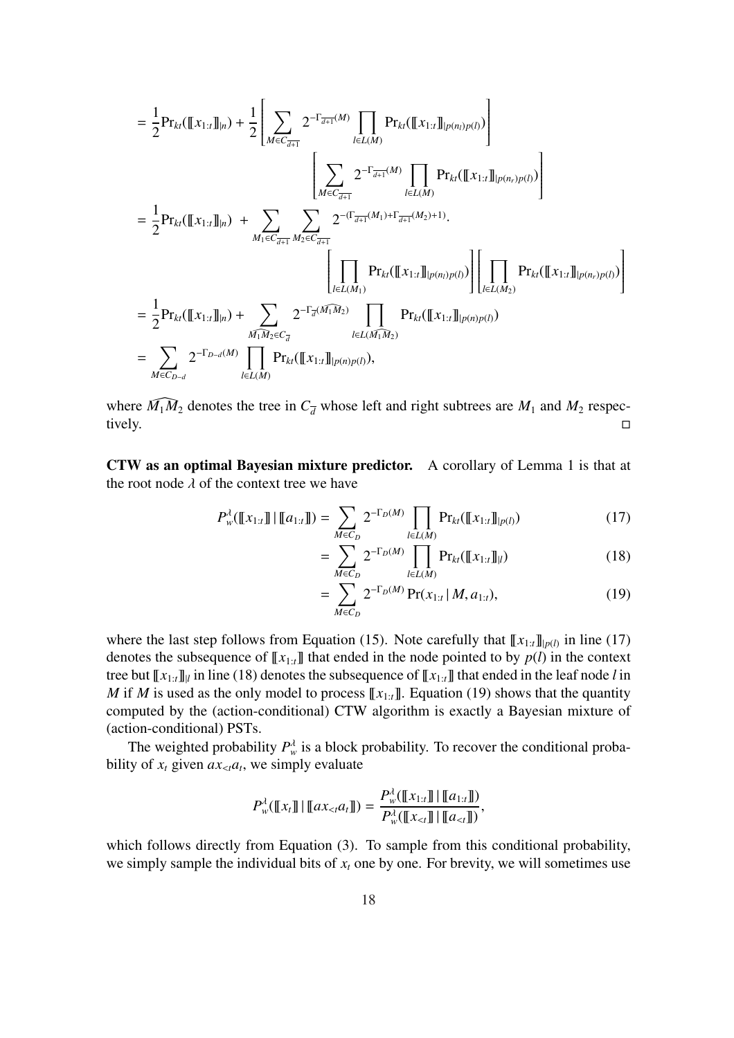$$
= \frac{1}{2} \text{Pr}_{kt}([\![x_{1:t}]\!]_{|n}) + \frac{1}{2} \left[ \sum_{M \in C_{\overline{d+1}}} 2^{-\Gamma_{\overline{d+1}}(M)} \prod_{l \in L(M)} \text{Pr}_{kt}([\![x_{1:t}]\!]_{|p(n_l)p(l)}) \right] \n= \frac{1}{2} \text{Pr}_{kt}([\![x_{1:t}]\!]_{|n}) + \sum_{M_1 \in C_{\overline{d+1}}} \sum_{M_2 \in C_{\overline{d+1}}} 2^{-(\Gamma_{\overline{d+1}}(M)} \prod_{l \in L(M)} \text{Pr}_{kt}([\![x_{1:t}]\!]_{|p(n_r)p(l)}) \right] \n= \frac{1}{2} \text{Pr}_{kt}([\![x_{1:t}]\!]_{|n}) + \sum_{M_1 \in C_{\overline{d+1}}} \sum_{M_2 \in C_{\overline{d+1}}} 2^{-(\Gamma_{\overline{d+1}}(M_1) + \Gamma_{\overline{d+1}}(M_2) + 1)} \cdot \prod_{l \in L(M_1)} \text{Pr}_{kt}([\![x_{1:t}]\!]_{|p(n_l)p(l)}) \right] \cdot \prod_{l \in L(M_2)} \text{Pr}_{kt}([\![x_{1:t}]\!]_{|p(n_r)p(l)}) \right) \n= \frac{1}{2} \text{Pr}_{kt}([\![x_{1:t}]\!]_{|n}) + \sum_{M_1 M_2 \in C_{\overline{d}}} 2^{-\Gamma_{\overline{d}}(M_1 M_2)} \prod_{l \in L(M_1 M_2)} \text{Pr}_{kt}([\![x_{1:t}]\!]_{|p(n)p(l)}) \n= \sum_{M \in C_{D-d}} 2^{-\Gamma_{D-d}(M)} \prod_{l \in L(M)} \text{Pr}_{kt}([\![x_{1:t}]\!]_{|p(n)p(l)}),
$$

where  $\widehat{M_1M_2}$  denotes the tree in  $C_{\overline{d}}$  whose left and right subtrees are  $M_1$  and  $M_2$  respectively. tively.  $\square$ 

CTW as an optimal Bayesian mixture predictor. A corollary of Lemma 1 is that at the root node  $\lambda$  of the context tree we have

=

$$
P_{w}^{\lambda}([\![x_{1:t}]\!]] \cdot [[a_{1:t}]]) = \sum_{M \in C_D} 2^{-\Gamma_D(M)} \prod_{l \in L(M)} \Pr_{kt}([\![x_{1:t}]\!]]_{p(l)}) \tag{17}
$$

$$
\sum_{M \in C_D}^{\text{M} \in C_D} 2^{-\Gamma_D(M)} \prod_{l \in L(M)}^{\text{I} \in L(M)} \Pr_{kt}(\llbracket x_{1:t} \rrbracket_l)
$$
(18)

$$
= \sum_{M \in C_D} 2^{-\Gamma_D(M)} \Pr(x_{1:t} | M, a_{1:t}), \tag{19}
$$

where the last step follows from Equation (15). Note carefully that  $\llbracket x_{1:t} \rrbracket_{p(l)}$  in line (17) denotes the subsequence of  $\llbracket x_{1:t} \rrbracket$  that ended in the node pointed to by  $p(l)$  in the context tree but  $\llbracket x_{1:t} \rrbracket$  in line (18) denotes the subsequence of  $\llbracket x_{1:t} \rrbracket$  that ended in the leaf node *l* in *M* if *M* is used as the only model to process  $\llbracket x_{1:t} \rrbracket$ . Equation (19) shows that the quantity computed by the (action-conditional) CTW algorithm is exactly a Bayesian mixture of (action-conditional) PSTs.

The weighted probability  $P_w^{\lambda}$  is a block probability. To recover the conditional probability of  $x_t$  given  $ax_{\leq t}a_t$ , we simply evaluate

$$
P_w^{\lambda}(\llbracket x_t \rrbracket \, | \, \llbracket ax_{< t} a_t \rrbracket) = \frac{P_w^{\lambda}(\llbracket x_{1:t} \rrbracket \, | \, \llbracket a_{1:t} \rrbracket)}{P_w^{\lambda}(\llbracket x_{< t} \rrbracket \, | \, \llbracket a_{< t} \rrbracket)},
$$

which follows directly from Equation (3). To sample from this conditional probability, we simply sample the individual bits of  $x_t$  one by one. For brevity, we will sometimes use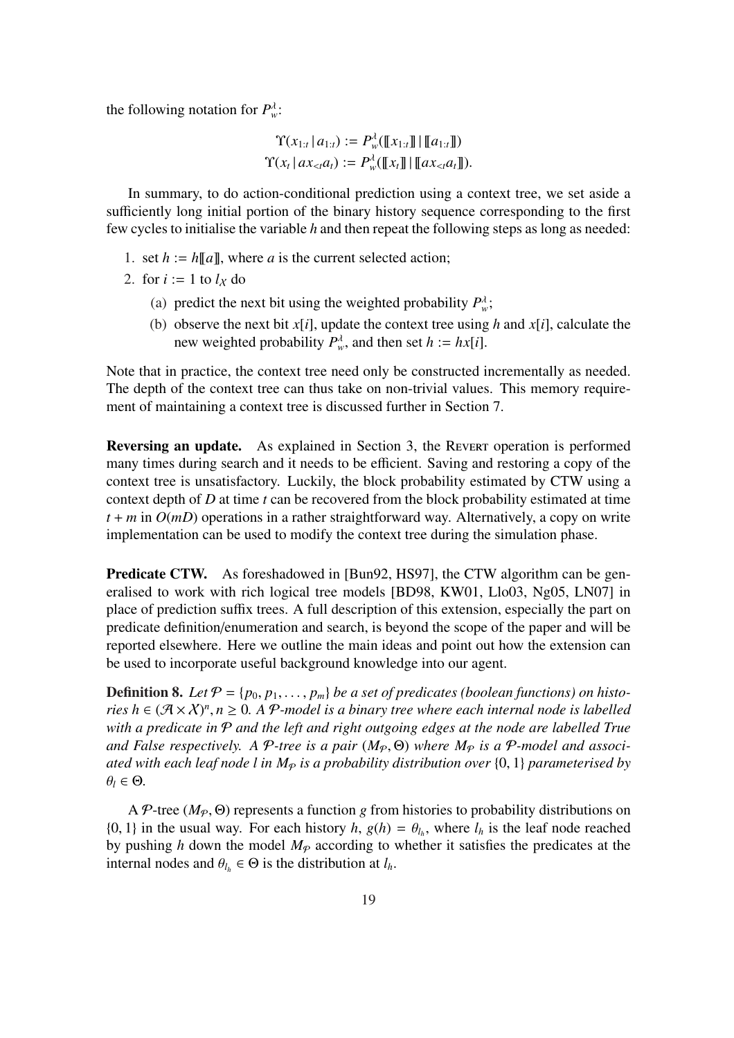the following notation for  $P_w^{\lambda}$ .

$$
\Upsilon(x_{1:t} | a_{1:t}) := P_w^{\lambda}(\llbracket x_{1:t} \rrbracket | \llbracket a_{1:t} \rrbracket)
$$

$$
\Upsilon(x_t | ax_{< t} a_t) := P_w^{\lambda}(\llbracket x_t \rrbracket | \llbracket ax_{< t} a_t \rrbracket).
$$

In summary, to do action-conditional prediction using a context tree, we set aside a sufficiently long initial portion of the binary history sequence corresponding to the first few cycles to initialise the variable *h* and then repeat the following steps as long as needed:

- 1. set  $h := h[[a]]$ , where *a* is the current selected action;
- 2. for  $i := 1$  to  $l_X$  do
	- (a) predict the next bit using the weighted probability  $P_w^{\lambda}$ ;
	- (b) observe the next bit *x*[*i*], update the context tree using *h* and *x*[*i*], calculate the new weighted probability  $P_w^{\lambda}$ , and then set  $h := hx[i]$ .

Note that in practice, the context tree need only be constructed incrementally as needed. The depth of the context tree can thus take on non-trivial values. This memory requirement of maintaining a context tree is discussed further in Section 7.

Reversing an update. As explained in Section 3, the Revert operation is performed many times during search and it needs to be efficient. Saving and restoring a copy of the context tree is unsatisfactory. Luckily, the block probability estimated by CTW using a context depth of *D* at time *t* can be recovered from the block probability estimated at time  $t + m$  in  $O(mD)$  operations in a rather straightforward way. Alternatively, a copy on write implementation can be used to modify the context tree during the simulation phase.

Predicate CTW. As foreshadowed in [Bun92, HS97], the CTW algorithm can be generalised to work with rich logical tree models [BD98, KW01, Llo03, Ng05, LN07] in place of prediction suffix trees. A full description of this extension, especially the part on predicate definition/enumeration and search, is beyond the scope of the paper and will be reported elsewhere. Here we outline the main ideas and point out how the extension can be used to incorporate useful background knowledge into our agent.

**Definition 8.** Let  $P = \{p_0, p_1, \ldots, p_m\}$  be a set of predicates (boolean functions) on histo*ries*  $h \in (\mathcal{A} \times \mathcal{X})^n, n \geq 0$ . A P-model is a binary tree where each internal node is labelled *with a predicate in* P *and the left and right outgoing edges at the node are labelled True and False respectively. A P-tree is a pair*  $(M_{\mathcal{P}}, \Theta)$  *where*  $M_{\mathcal{P}}$  *is a P-model and associated with each leaf node l in M*<sup>P</sup> *is a probability distribution over* {0, 1} *parameterised by*  $\theta_l \in \Theta$ .

A P-tree ( $M_p$ ,  $\Theta$ ) represents a function *g* from histories to probability distributions on {0, 1} in the usual way. For each history  $h$ ,  $g(h) = \theta_{l_h}$ , where  $l_h$  is the leaf node reached by pushing *h* down the model  $M_p$  according to whether it satisfies the predicates at the internal nodes and  $\theta_{l_h} \in \Theta$  is the distribution at  $l_h$ .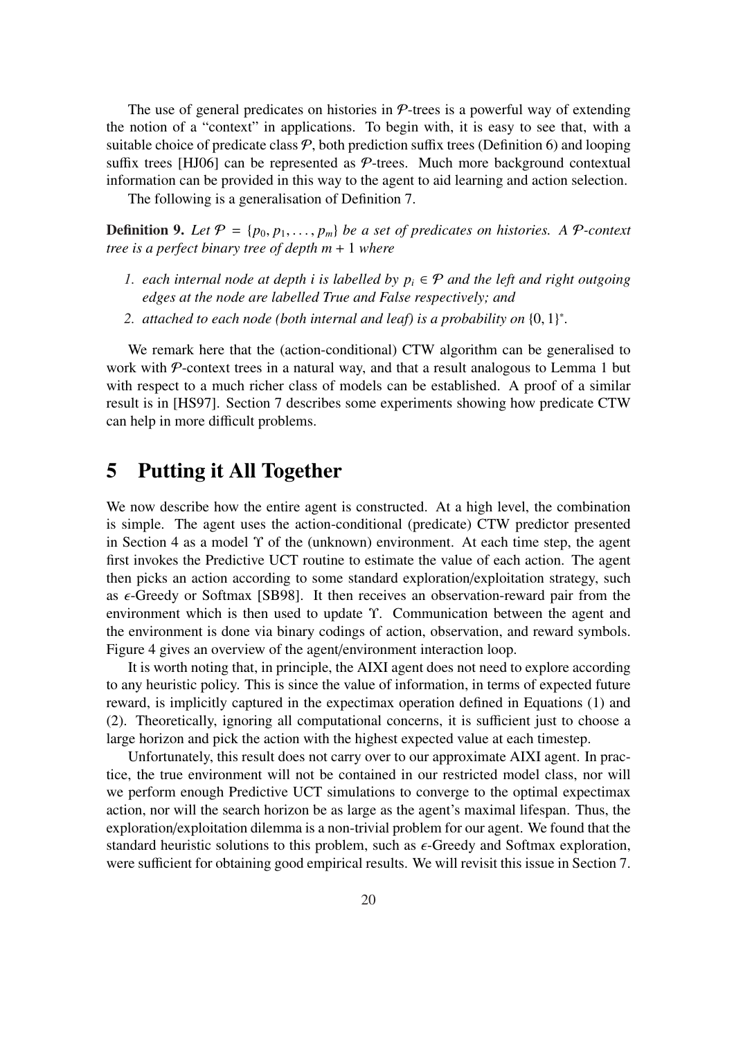The use of general predicates on histories in  $\mathcal{P}$ -trees is a powerful way of extending the notion of a "context" in applications. To begin with, it is easy to see that, with a suitable choice of predicate class  $P$ , both prediction suffix trees (Definition 6) and looping suffix trees [HJ06] can be represented as  $P$ -trees. Much more background contextual information can be provided in this way to the agent to aid learning and action selection.

The following is a generalisation of Definition 7.

**Definition 9.** Let  $P = \{p_0, p_1, \ldots, p_m\}$  be a set of predicates on histories. A P-context *tree is a perfect binary tree of depth m* + 1 *where*

- *1. each internal node at depth i is labelled by*  $p_i \in \mathcal{P}$  *and the left and right outgoing edges at the node are labelled True and False respectively; and*
- *2. attached to each node (both internal and leaf) is a probability on* {0, 1} ∗ *.*

We remark here that the (action-conditional) CTW algorithm can be generalised to work with  $P$ -context trees in a natural way, and that a result analogous to Lemma 1 but with respect to a much richer class of models can be established. A proof of a similar result is in [HS97]. Section 7 describes some experiments showing how predicate CTW can help in more difficult problems.

## 5 Putting it All Together

We now describe how the entire agent is constructed. At a high level, the combination is simple. The agent uses the action-conditional (predicate) CTW predictor presented in Section 4 as a model  $\Upsilon$  of the (unknown) environment. At each time step, the agent first invokes the Predictive UCT routine to estimate the value of each action. The agent then picks an action according to some standard exploration/exploitation strategy, such as  $\epsilon$ -Greedy or Softmax [SB98]. It then receives an observation-reward pair from the environment which is then used to update Υ. Communication between the agent and the environment is done via binary codings of action, observation, and reward symbols. Figure 4 gives an overview of the agent/environment interaction loop.

It is worth noting that, in principle, the AIXI agent does not need to explore according to any heuristic policy. This is since the value of information, in terms of expected future reward, is implicitly captured in the expectimax operation defined in Equations (1) and (2). Theoretically, ignoring all computational concerns, it is sufficient just to choose a large horizon and pick the action with the highest expected value at each timestep.

Unfortunately, this result does not carry over to our approximate AIXI agent. In practice, the true environment will not be contained in our restricted model class, nor will we perform enough Predictive UCT simulations to converge to the optimal expectimax action, nor will the search horizon be as large as the agent's maximal lifespan. Thus, the exploration/exploitation dilemma is a non-trivial problem for our agent. We found that the standard heuristic solutions to this problem, such as  $\epsilon$ -Greedy and Softmax exploration, were sufficient for obtaining good empirical results. We will revisit this issue in Section 7.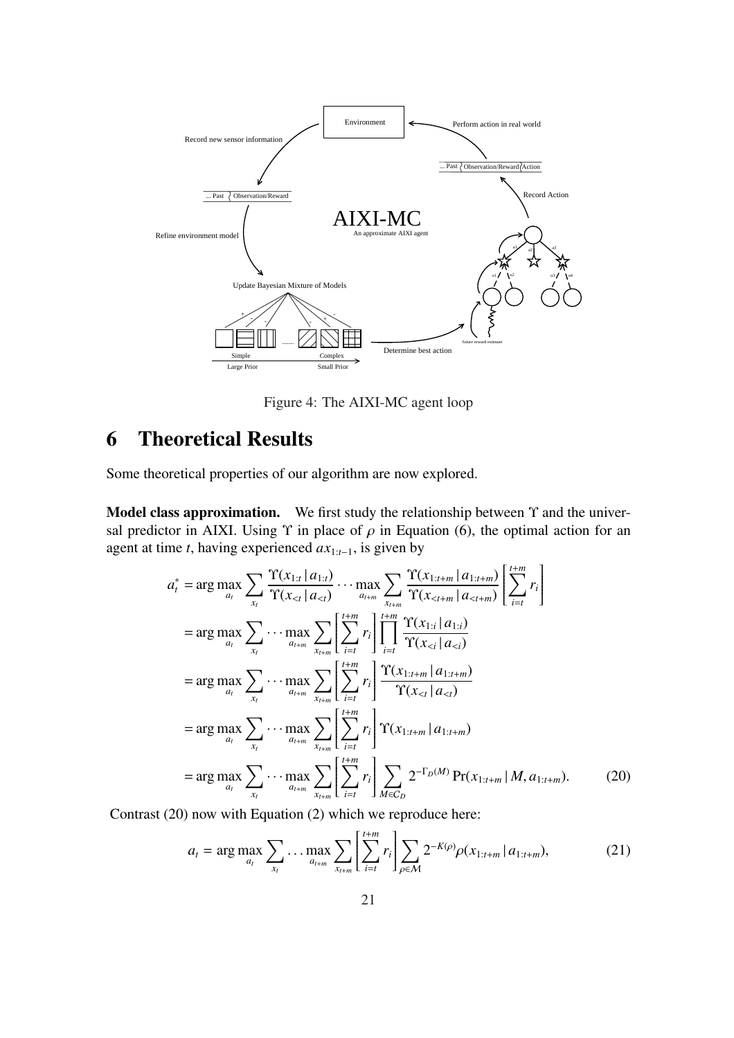

Figure 4: The AIXI-MC agent loop

# 6 Theoretical Results

Some theoretical properties of our algorithm are now explored.

Model class approximation. We first study the relationship between  $\Upsilon$  and the universal predictor in AIXI. Using  $\Upsilon$  in place of  $\rho$  in Equation (6), the optimal action for an agent at time *t*, having experienced *ax*1:*t*−1, is given by

$$
a_{t}^{*} = \arg \max_{a_{t}} \sum_{x_{t}} \frac{\Upsilon(x_{1:t} | a_{1:t})}{\Upsilon(x_{\n
$$
= \arg \max_{a_{t}} \sum_{x_{t}} \cdots \max_{a_{t+m}} \sum_{x_{t+m}} \left[ \sum_{i=t}^{t+m} r_{i} \right] \prod_{i=t}^{t+m} \frac{\Upsilon(x_{1:i} | a_{1:i})}{\Upsilon(x_{\n
$$
= \arg \max_{a_{t}} \sum_{x_{t}} \cdots \max_{a_{t+m}} \sum_{x_{t+m}} \left[ \sum_{i=t}^{t+m} r_{i} \right] \frac{\Upsilon(x_{1:t+m} | a_{1:t+m})}{\Upsilon(x_{\n
$$
= \arg \max_{a_{t}} \sum_{x_{t}} \cdots \max_{a_{t+m}} \sum_{x_{t+m}} \left[ \sum_{i=t}^{t+m} r_{i} \right] \Upsilon(x_{1:t+m} | a_{1:t+m})
$$
\n
$$
= \arg \max_{a_{t}} \sum_{x_{t}} \cdots \max_{a_{t+m}} \sum_{x_{t+m}} \left[ \sum_{i=t}^{t+m} r_{i} \right] \sum_{M \in C_{D}} 2^{-\Gamma_{D}(M)} \Pr(x_{1:t+m} | M, a_{1:t+m}). \tag{20}
$$
$$
$$
$$

Contrast (20) now with Equation (2) which we reproduce here:

$$
a_{t} = \arg \max_{a_{t}} \sum_{x_{t}} \dots \max_{a_{t+m}} \sum_{x_{t+m}} \left[ \sum_{i=t}^{t+m} r_{i} \right] \sum_{\rho \in \mathcal{M}} 2^{-K(\rho)} \rho(x_{1:t+m} | a_{1:t+m}), \tag{21}
$$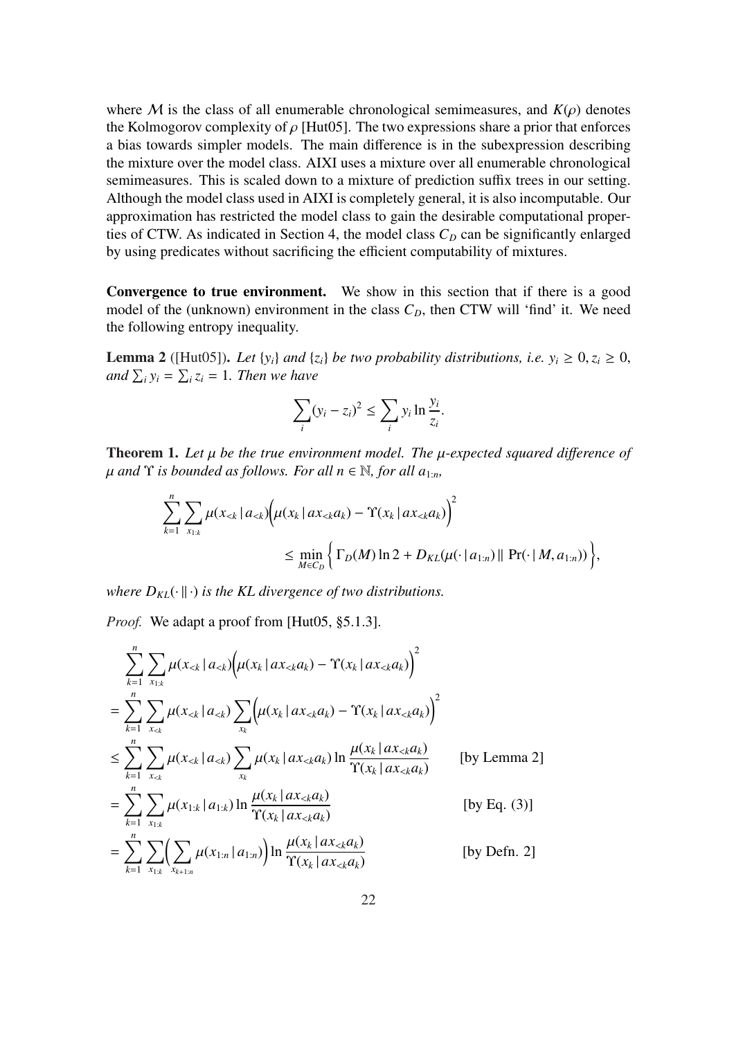where M is the class of all enumerable chronological semimeasures, and  $K(\rho)$  denotes the Kolmogorov complexity of  $\rho$  [Hut05]. The two expressions share a prior that enforces a bias towards simpler models. The main difference is in the subexpression describing the mixture over the model class. AIXI uses a mixture over all enumerable chronological semimeasures. This is scaled down to a mixture of prediction suffix trees in our setting. Although the model class used in AIXI is completely general, it is also incomputable. Our approximation has restricted the model class to gain the desirable computational properties of CTW. As indicated in Section 4, the model class  $C<sub>D</sub>$  can be significantly enlarged by using predicates without sacrificing the efficient computability of mixtures.

Convergence to true environment. We show in this section that if there is a good model of the (unknown) environment in the class  $C<sub>D</sub>$ , then CTW will 'find' it. We need the following entropy inequality.

**Lemma 2** ([Hut05]). Let  $\{y_i\}$  *and*  $\{z_i\}$  *be two probability distributions, i.e.*  $y_i \ge 0, z_i \ge 0$ , *and*  $\sum_i y_i = \sum_i z_i = 1$ *. Then we have* 

$$
\sum_{i} (y_i - z_i)^2 \le \sum_{i} y_i \ln \frac{y_i}{z_i}.
$$

Theorem 1. *Let* µ *be the true environment model. The* µ*-expected squared di*ff*erence of*  $\mu$  *and*  $\Upsilon$  *is bounded as follows. For all*  $n \in \mathbb{N}$ *, for all*  $a_{1:n}$ *,* 

$$
\sum_{k=1}^{n} \sum_{x_{1:k}} \mu(x_{< k} | a_{< k}) \Big( \mu(x_k | a x_{< k} a_k) - \Upsilon(x_k | a x_{< k} a_k) \Big)^2
$$
\n
$$
\leq \min_{M \in C_D} \Big\{ \Gamma_D(M) \ln 2 + D_{KL}(\mu(\cdot | a_{1:n}) || \Pr(\cdot | M, a_{1:n})) \Big\},
$$

*where*  $D_{KL}(\cdot \| \cdot)$  *is the KL divergence of two distributions.* 

*Proof.* We adapt a proof from [Hut05, §5.1.3].

$$
\sum_{k=1}^{n} \sum_{x_{1:k}} \mu(x_{< k} | a_{< k}) \left( \mu(x_k | ax_{< k} a_k) - \Upsilon(x_k | ax_{< k} a_k) \right)^2
$$
\n
$$
= \sum_{k=1}^{n} \sum_{x_{< k}} \mu(x_{< k} | a_{< k}) \sum_{x_k} \left( \mu(x_k | ax_{< k} a_k) - \Upsilon(x_k | ax_{< k} a_k) \right)^2
$$
\n
$$
\leq \sum_{k=1}^{n} \sum_{x_{< k}} \mu(x_{< k} | a_{< k}) \sum_{x_k} \mu(x_k | ax_{< k} a_k) \ln \frac{\mu(x_k | ax_{< k} a_k)}{\Upsilon(x_k | ax_{< k} a_k)} \qquad \text{[by Lemma 2]}
$$
\n
$$
= \sum_{k=1}^{n} \sum_{x_{1:k}} \mu(x_{1:k} | a_{1:k}) \ln \frac{\mu(x_k | ax_{< k} a_k)}{\Upsilon(x_k | ax_{< k} a_k)} \qquad \text{[by Eq. (3)]}
$$
\n
$$
= \sum_{k=1}^{n} \sum_{x_{1:k}} \left( \sum_{x_{k+1:n}} \mu(x_{1:n} | a_{1:n}) \right) \ln \frac{\mu(x_k | ax_{< k} a_k)}{\Upsilon(x_k | ax_{< k} a_k)} \qquad \text{[by Defn. 2]}
$$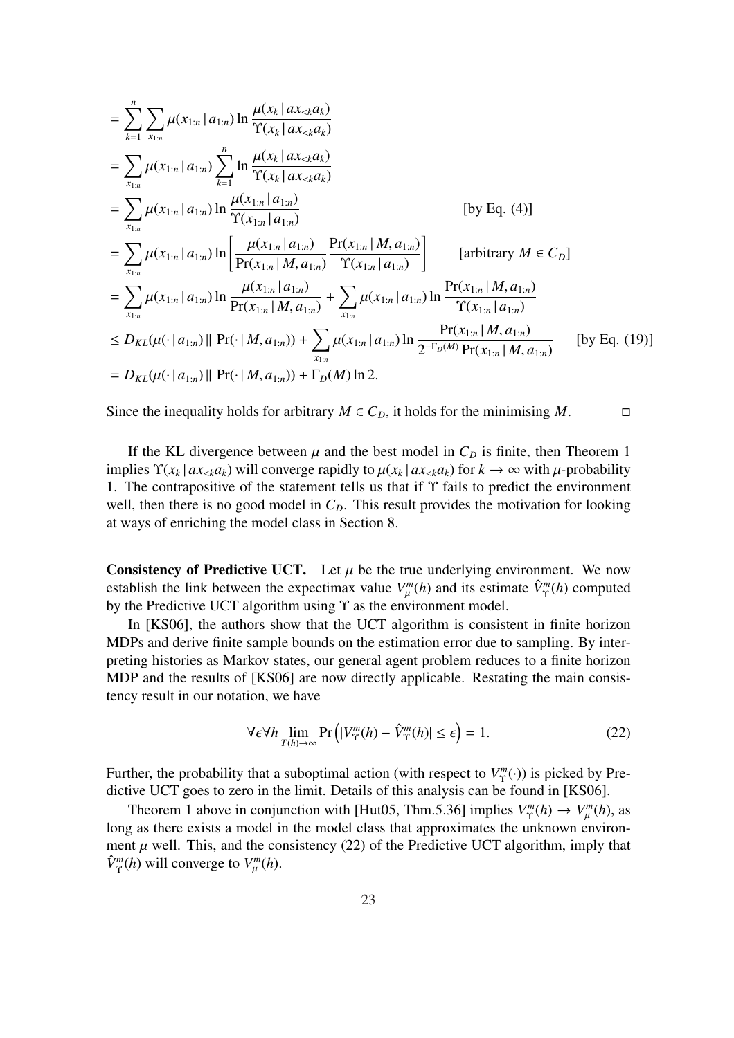$$
\begin{split}\n&= \sum_{k=1}^{n} \sum_{x_{1:n}} \mu(x_{1:n} | a_{1:n}) \ln \frac{\mu(x_k | ax_{< k} a_k)}{\Upsilon(x_k | ax_{< k} a_k)} \\
&= \sum_{x_{1:n}} \mu(x_{1:n} | a_{1:n}) \sum_{k=1}^{n} \ln \frac{\mu(x_k | ax_{< k} a_k)}{\Upsilon(x_k | ax_{< k} a_k)} \\
&= \sum_{x_{1:n}} \mu(x_{1:n} | a_{1:n}) \ln \frac{\mu(x_{1:n} | a_{1:n})}{\Upsilon(x_{1:n} | a_{1:n})} \qquad \qquad \text{[by Eq. (4)]} \\
&= \sum_{x_{1:n}} \mu(x_{1:n} | a_{1:n}) \ln \left[ \frac{\mu(x_{1:n} | a_{1:n})}{\Pr(x_{1:n} | M, a_{1:n})} \frac{\Pr(x_{1:n} | M, a_{1:n})}{\Upsilon(x_{1:n} | a_{1:n})} \right] \qquad \qquad \text{[arbitrary } M \in C_D] \\
&= \sum_{x_{1:n}} \mu(x_{1:n} | a_{1:n}) \ln \frac{\mu(x_{1:n} | a_{1:n})}{\Pr(x_{1:n} | M, a_{1:n})} + \sum_{x_{1:n}} \mu(x_{1:n} | a_{1:n}) \ln \frac{\Pr(x_{1:n} | M, a_{1:n})}{\Upsilon(x_{1:n} | a_{1:n})} \\
&\leq D_{KL}(\mu(\cdot | a_{1:n}) || \Pr(\cdot | M, a_{1:n})) + \sum_{x_{1:n}} \mu(x_{1:n} | a_{1:n}) \ln \frac{\Pr(x_{1:n} | M, a_{1:n})}{2^{-\Gamma_D(M)} \Pr(x_{1:n} | M, a_{1:n})} \qquad \text{[by Eq. (19)]} \\
&= D_{KL}(\mu(\cdot | a_{1:n}) || \Pr(\cdot | M, a_{1:n})) + \Gamma_D(M) \ln 2.\n\end{split}
$$

Since the inequality holds for arbitrary  $M \in C_D$ , it holds for the minimising  $M$ .

If the KL divergence between  $\mu$  and the best model in  $C_D$  is finite, then Theorem 1 implies  $\Upsilon(x_k | ax_{< k} a_k)$  will converge rapidly to  $\mu(x_k | ax_{< k} a_k)$  for  $k \to \infty$  with  $\mu$ -probability 1. The contrapositive of the statement tells us that if Υ fails to predict the environment well, then there is no good model in  $C<sub>D</sub>$ . This result provides the motivation for looking at ways of enriching the model class in Section 8.

**Consistency of Predictive UCT.** Let  $\mu$  be the true underlying environment. We now establish the link between the expectimax value  $V_{\mu}^{m}(h)$  and its estimate  $\hat{V}_{\Upsilon}^{m}(h)$  computed by the Predictive UCT algorithm using Υ as the environment model.

In [KS06], the authors show that the UCT algorithm is consistent in finite horizon MDPs and derive finite sample bounds on the estimation error due to sampling. By interpreting histories as Markov states, our general agent problem reduces to a finite horizon MDP and the results of [KS06] are now directly applicable. Restating the main consistency result in our notation, we have

$$
\forall \epsilon \forall h \lim_{T(h) \to \infty} \Pr\left( |V^m_{\Upsilon}(h) - \hat{V}^m_{\Upsilon}(h)| \le \epsilon \right) = 1. \tag{22}
$$

Further, the probability that a suboptimal action (with respect to  $V_{\Upsilon}^m$  $T_{\Upsilon}^{m}(\cdot)$ ) is picked by Predictive UCT goes to zero in the limit. Details of this analysis can be found in [KS06].

Theorem 1 above in conjunction with [Hut05, Thm.5.36] implies  $V_{\Upsilon}^m$  $V_T^m(h) \to V_\mu^m(h)$ , as long as there exists a model in the model class that approximates the unknown environment  $\mu$  well. This, and the consistency (22) of the Predictive UCT algorithm, imply that  $\hat{V}^m_{\Upsilon}(h)$  will converge to  $V^m_{\mu}(h)$ .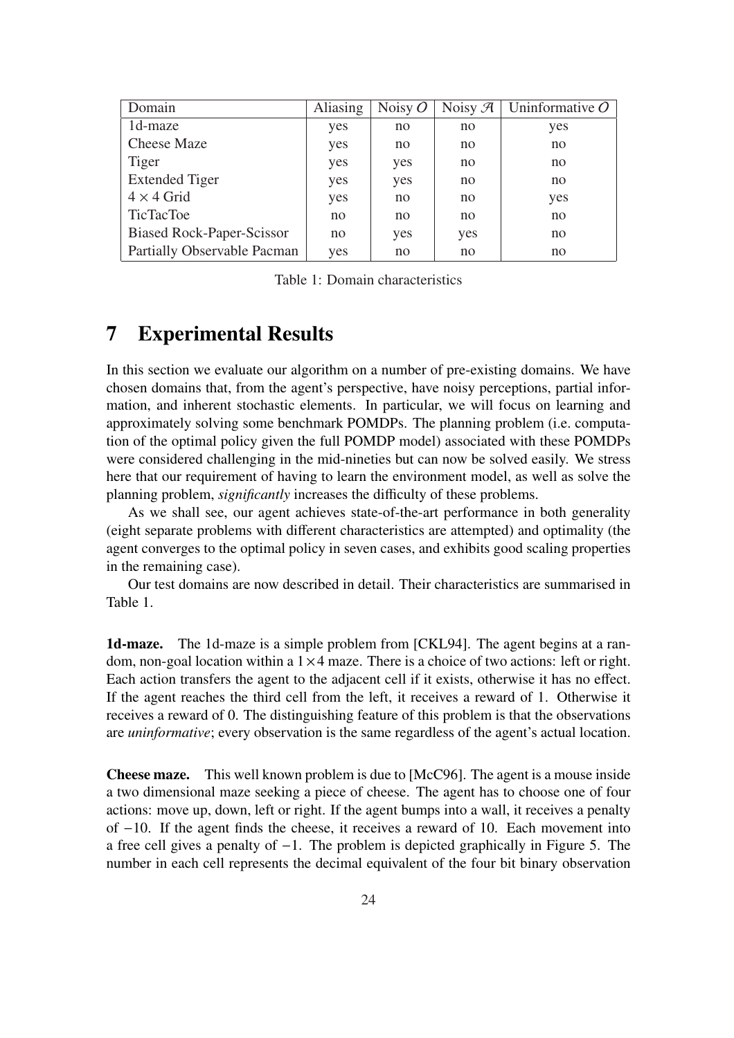| Domain                           | <b>Aliasing</b> | Noisy $O$ | Noisy $\mathcal{A}$ | Uninformative $\overline{O}$ |
|----------------------------------|-----------------|-----------|---------------------|------------------------------|
| 1d-maze                          | yes             | no        | no                  | yes                          |
| <b>Cheese Maze</b>               | yes             | no        | no                  | no                           |
| Tiger                            | yes             | yes       | no                  | no                           |
| <b>Extended Tiger</b>            | yes             | yes       | no                  | no                           |
| $4 \times 4$ Grid                | yes             | no        | no                  | yes                          |
| <b>TicTacToe</b>                 | no              | no        | no                  | no                           |
| <b>Biased Rock-Paper-Scissor</b> | no              | yes       | yes                 | no                           |
| Partially Observable Pacman      | yes             | no        | no                  | no                           |

Table 1: Domain characteristics

## 7 Experimental Results

In this section we evaluate our algorithm on a number of pre-existing domains. We have chosen domains that, from the agent's perspective, have noisy perceptions, partial information, and inherent stochastic elements. In particular, we will focus on learning and approximately solving some benchmark POMDPs. The planning problem (i.e. computation of the optimal policy given the full POMDP model) associated with these POMDPs were considered challenging in the mid-nineties but can now be solved easily. We stress here that our requirement of having to learn the environment model, as well as solve the planning problem, *significantly* increases the difficulty of these problems.

As we shall see, our agent achieves state-of-the-art performance in both generality (eight separate problems with different characteristics are attempted) and optimality (the agent converges to the optimal policy in seven cases, and exhibits good scaling properties in the remaining case).

Our test domains are now described in detail. Their characteristics are summarised in Table 1.

1d-maze. The 1d-maze is a simple problem from [CKL94]. The agent begins at a random, non-goal location within a  $1 \times 4$  maze. There is a choice of two actions: left or right. Each action transfers the agent to the adjacent cell if it exists, otherwise it has no effect. If the agent reaches the third cell from the left, it receives a reward of 1. Otherwise it receives a reward of 0. The distinguishing feature of this problem is that the observations are *uninformative*; every observation is the same regardless of the agent's actual location.

Cheese maze. This well known problem is due to [McC96]. The agent is a mouse inside a two dimensional maze seeking a piece of cheese. The agent has to choose one of four actions: move up, down, left or right. If the agent bumps into a wall, it receives a penalty of −10. If the agent finds the cheese, it receives a reward of 10. Each movement into a free cell gives a penalty of −1. The problem is depicted graphically in Figure 5. The number in each cell represents the decimal equivalent of the four bit binary observation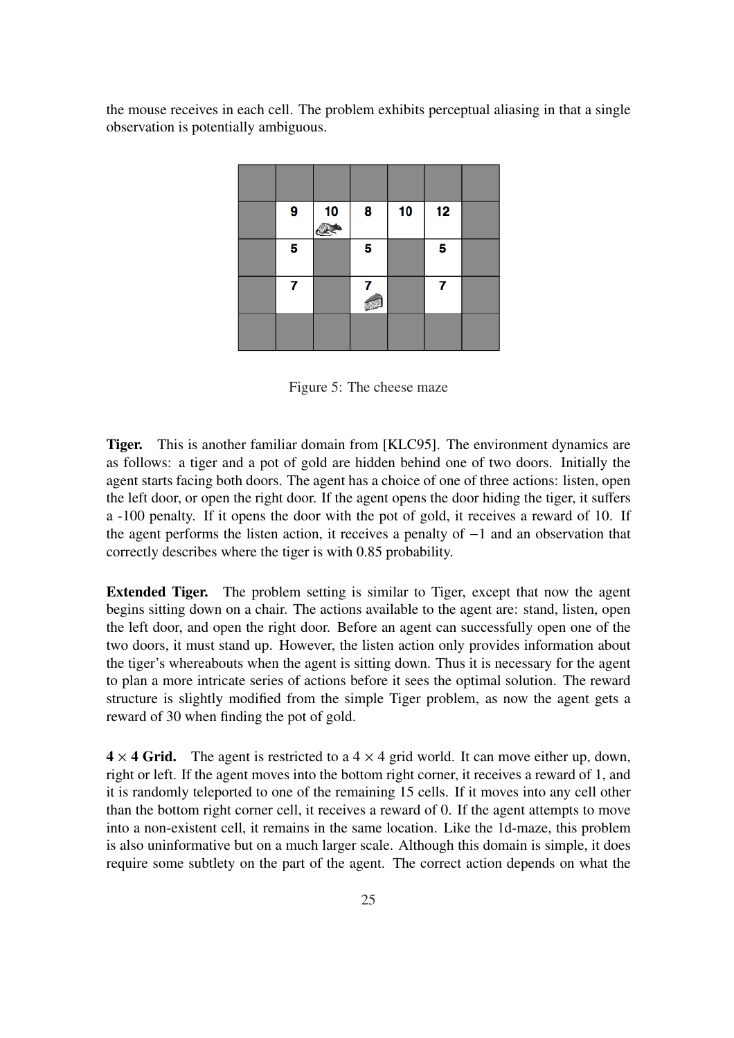the mouse receives in each cell. The problem exhibits perceptual aliasing in that a single observation is potentially ambiguous.

| 9 | 10 | 8 | 10 | 12 |  |
|---|----|---|----|----|--|
| 5 |    | 5 |    | 5  |  |
| 7 |    |   |    | 7  |  |
|   |    |   |    |    |  |

Figure 5: The cheese maze

Tiger. This is another familiar domain from [KLC95]. The environment dynamics are as follows: a tiger and a pot of gold are hidden behind one of two doors. Initially the agent starts facing both doors. The agent has a choice of one of three actions: listen, open the left door, or open the right door. If the agent opens the door hiding the tiger, it suffers a -100 penalty. If it opens the door with the pot of gold, it receives a reward of 10. If the agent performs the listen action, it receives a penalty of −1 and an observation that correctly describes where the tiger is with 0.85 probability.

Extended Tiger. The problem setting is similar to Tiger, except that now the agent begins sitting down on a chair. The actions available to the agent are: stand, listen, open the left door, and open the right door. Before an agent can successfully open one of the two doors, it must stand up. However, the listen action only provides information about the tiger's whereabouts when the agent is sitting down. Thus it is necessary for the agent to plan a more intricate series of actions before it sees the optimal solution. The reward structure is slightly modified from the simple Tiger problem, as now the agent gets a reward of 30 when finding the pot of gold.

 $4 \times 4$  Grid. The agent is restricted to a  $4 \times 4$  grid world. It can move either up, down, right or left. If the agent moves into the bottom right corner, it receives a reward of 1, and it is randomly teleported to one of the remaining 15 cells. If it moves into any cell other than the bottom right corner cell, it receives a reward of 0. If the agent attempts to move into a non-existent cell, it remains in the same location. Like the 1d-maze, this problem is also uninformative but on a much larger scale. Although this domain is simple, it does require some subtlety on the part of the agent. The correct action depends on what the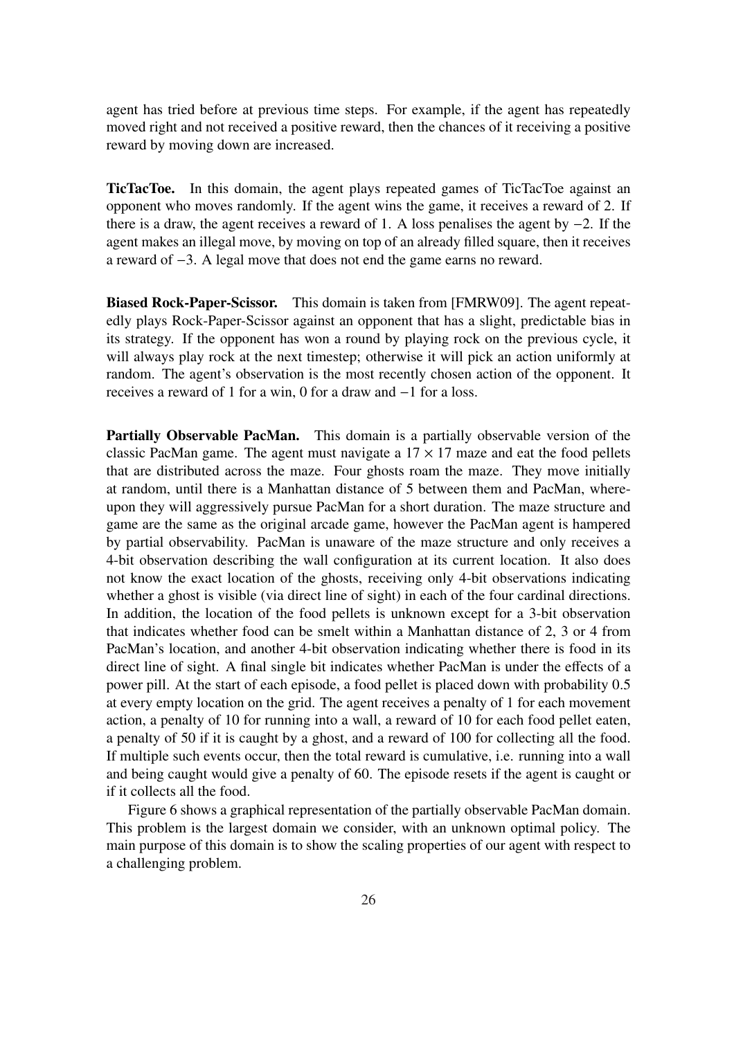agent has tried before at previous time steps. For example, if the agent has repeatedly moved right and not received a positive reward, then the chances of it receiving a positive reward by moving down are increased.

TicTacToe. In this domain, the agent plays repeated games of TicTacToe against an opponent who moves randomly. If the agent wins the game, it receives a reward of 2. If there is a draw, the agent receives a reward of 1. A loss penalises the agent by −2. If the agent makes an illegal move, by moving on top of an already filled square, then it receives a reward of −3. A legal move that does not end the game earns no reward.

Biased Rock-Paper-Scissor. This domain is taken from [FMRW09]. The agent repeatedly plays Rock-Paper-Scissor against an opponent that has a slight, predictable bias in its strategy. If the opponent has won a round by playing rock on the previous cycle, it will always play rock at the next timestep; otherwise it will pick an action uniformly at random. The agent's observation is the most recently chosen action of the opponent. It receives a reward of 1 for a win, 0 for a draw and −1 for a loss.

Partially Observable PacMan. This domain is a partially observable version of the classic PacMan game. The agent must navigate a  $17 \times 17$  maze and eat the food pellets that are distributed across the maze. Four ghosts roam the maze. They move initially at random, until there is a Manhattan distance of 5 between them and PacMan, whereupon they will aggressively pursue PacMan for a short duration. The maze structure and game are the same as the original arcade game, however the PacMan agent is hampered by partial observability. PacMan is unaware of the maze structure and only receives a 4-bit observation describing the wall configuration at its current location. It also does not know the exact location of the ghosts, receiving only 4-bit observations indicating whether a ghost is visible (via direct line of sight) in each of the four cardinal directions. In addition, the location of the food pellets is unknown except for a 3-bit observation that indicates whether food can be smelt within a Manhattan distance of 2, 3 or 4 from PacMan's location, and another 4-bit observation indicating whether there is food in its direct line of sight. A final single bit indicates whether PacMan is under the effects of a power pill. At the start of each episode, a food pellet is placed down with probability 0.5 at every empty location on the grid. The agent receives a penalty of 1 for each movement action, a penalty of 10 for running into a wall, a reward of 10 for each food pellet eaten, a penalty of 50 if it is caught by a ghost, and a reward of 100 for collecting all the food. If multiple such events occur, then the total reward is cumulative, i.e. running into a wall and being caught would give a penalty of 60. The episode resets if the agent is caught or if it collects all the food.

Figure 6 shows a graphical representation of the partially observable PacMan domain. This problem is the largest domain we consider, with an unknown optimal policy. The main purpose of this domain is to show the scaling properties of our agent with respect to a challenging problem.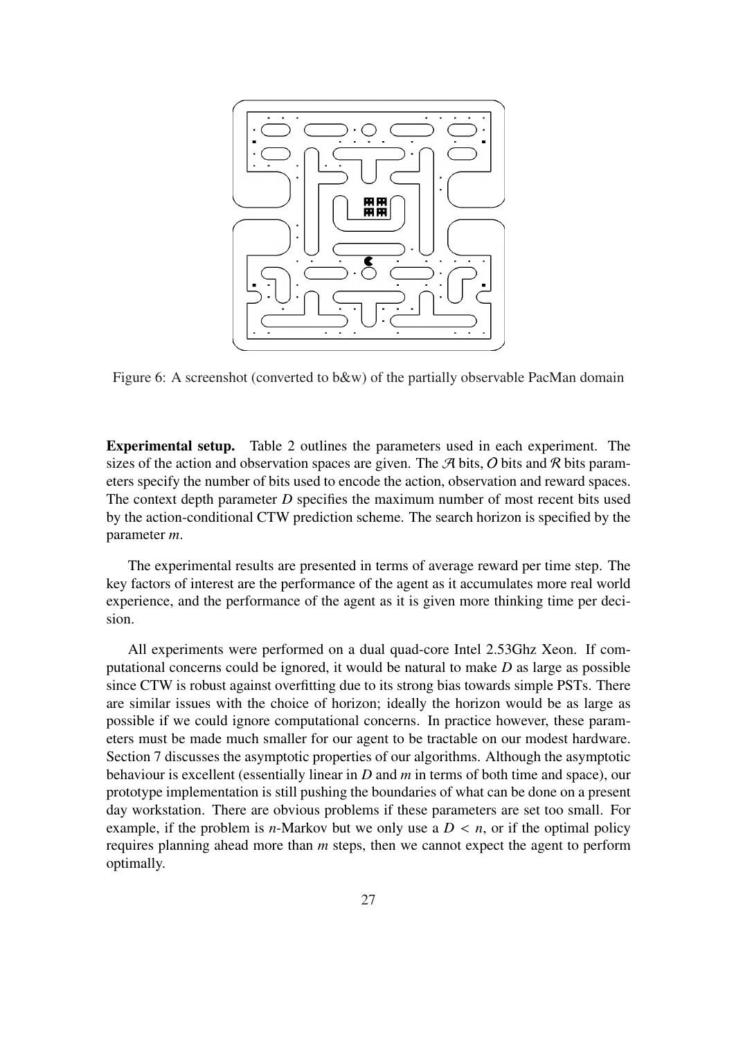

Figure 6: A screenshot (converted to b&w) of the partially observable PacMan domain

Experimental setup. Table 2 outlines the parameters used in each experiment. The sizes of the action and observation spaces are given. The  $\mathcal A$  bits,  $\mathcal O$  bits and  $\mathcal R$  bits parameters specify the number of bits used to encode the action, observation and reward spaces. The context depth parameter *D* specifies the maximum number of most recent bits used by the action-conditional CTW prediction scheme. The search horizon is specified by the parameter *m*.

The experimental results are presented in terms of average reward per time step. The key factors of interest are the performance of the agent as it accumulates more real world experience, and the performance of the agent as it is given more thinking time per decision.

All experiments were performed on a dual quad-core Intel 2.53Ghz Xeon. If computational concerns could be ignored, it would be natural to make *D* as large as possible since CTW is robust against overfitting due to its strong bias towards simple PSTs. There are similar issues with the choice of horizon; ideally the horizon would be as large as possible if we could ignore computational concerns. In practice however, these parameters must be made much smaller for our agent to be tractable on our modest hardware. Section 7 discusses the asymptotic properties of our algorithms. Although the asymptotic behaviour is excellent (essentially linear in *D* and *m* in terms of both time and space), our prototype implementation is still pushing the boundaries of what can be done on a present day workstation. There are obvious problems if these parameters are set too small. For example, if the problem is *n*-Markov but we only use a  $D < n$ , or if the optimal policy requires planning ahead more than *m* steps, then we cannot expect the agent to perform optimally.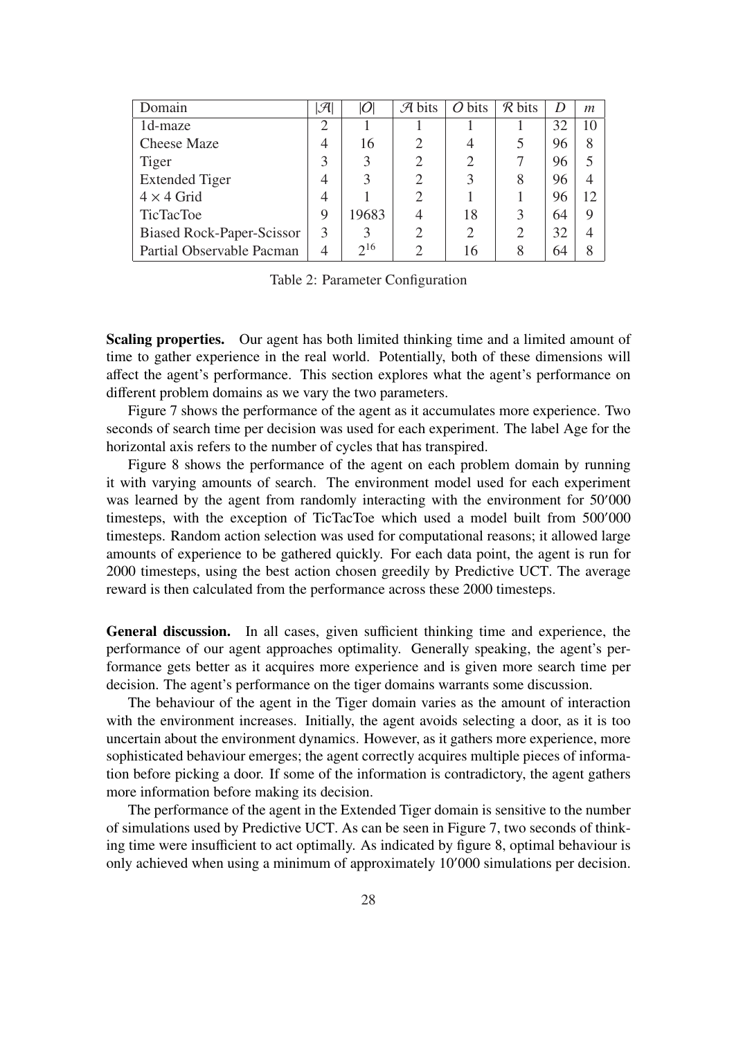| Domain                           | $ \mathcal{A} $ |          | $\mathcal{A}$ bits          | $O \text{ bits}$ | $\mathcal{R}$ bits | D  | m  |
|----------------------------------|-----------------|----------|-----------------------------|------------------|--------------------|----|----|
| 1d-maze                          | 2               |          |                             |                  |                    | 32 | 10 |
| <b>Cheese Maze</b>               | 4               | 16       | $\mathcal{D}_{\mathcal{A}}$ | 4                | 5                  | 96 | 8  |
| Tiger                            | 3               | 3        | $\overline{2}$              | $\overline{2}$   |                    | 96 |    |
| <b>Extended Tiger</b>            | 4               | 3        | $\overline{2}$              | 3                | 8                  | 96 |    |
| $4 \times 4$ Grid                | 4               |          | $\mathcal{D}_{\mathcal{L}}$ |                  |                    | 96 | 12 |
| <b>TicTacToe</b>                 | 9               | 19683    |                             | 18               | 3                  | 64 | 9  |
| <b>Biased Rock-Paper-Scissor</b> | 3               | 3        |                             | 2                | 2                  | 32 | 4  |
| Partial Observable Pacman        | 4               | $2^{16}$ |                             | 16               | 8                  | 64 |    |

Table 2: Parameter Configuration

Scaling properties. Our agent has both limited thinking time and a limited amount of time to gather experience in the real world. Potentially, both of these dimensions will affect the agent's performance. This section explores what the agent's performance on different problem domains as we vary the two parameters.

Figure 7 shows the performance of the agent as it accumulates more experience. Two seconds of search time per decision was used for each experiment. The label Age for the horizontal axis refers to the number of cycles that has transpired.

Figure 8 shows the performance of the agent on each problem domain by running it with varying amounts of search. The environment model used for each experiment was learned by the agent from randomly interacting with the environment for  $50'000$ timesteps, with the exception of TicTacToe which used a model built from 500'000 timesteps. Random action selection was used for computational reasons; it allowed large amounts of experience to be gathered quickly. For each data point, the agent is run for 2000 timesteps, using the best action chosen greedily by Predictive UCT. The average reward is then calculated from the performance across these 2000 timesteps.

General discussion. In all cases, given sufficient thinking time and experience, the performance of our agent approaches optimality. Generally speaking, the agent's performance gets better as it acquires more experience and is given more search time per decision. The agent's performance on the tiger domains warrants some discussion.

The behaviour of the agent in the Tiger domain varies as the amount of interaction with the environment increases. Initially, the agent avoids selecting a door, as it is too uncertain about the environment dynamics. However, as it gathers more experience, more sophisticated behaviour emerges; the agent correctly acquires multiple pieces of information before picking a door. If some of the information is contradictory, the agent gathers more information before making its decision.

The performance of the agent in the Extended Tiger domain is sensitive to the number of simulations used by Predictive UCT. As can be seen in Figure 7, two seconds of thinking time were insufficient to act optimally. As indicated by figure 8, optimal behaviour is only achieved when using a minimum of approximately  $10'000$  simulations per decision.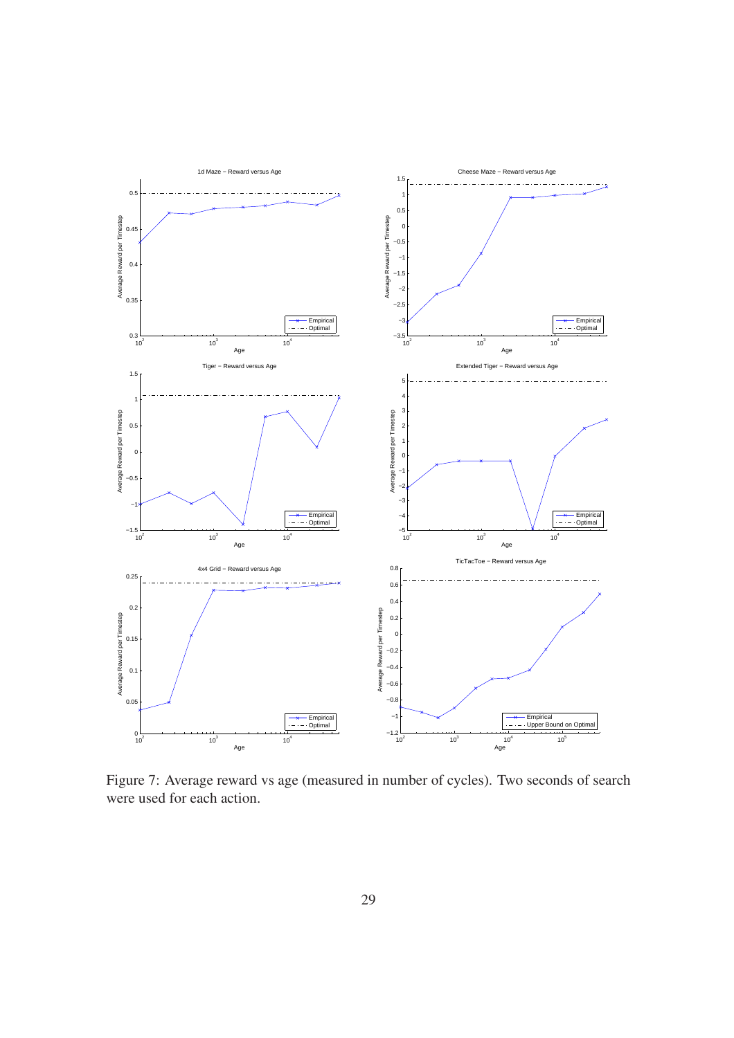

Figure 7: Average reward vs age (measured in number of cycles). Two seconds of search were used for each action.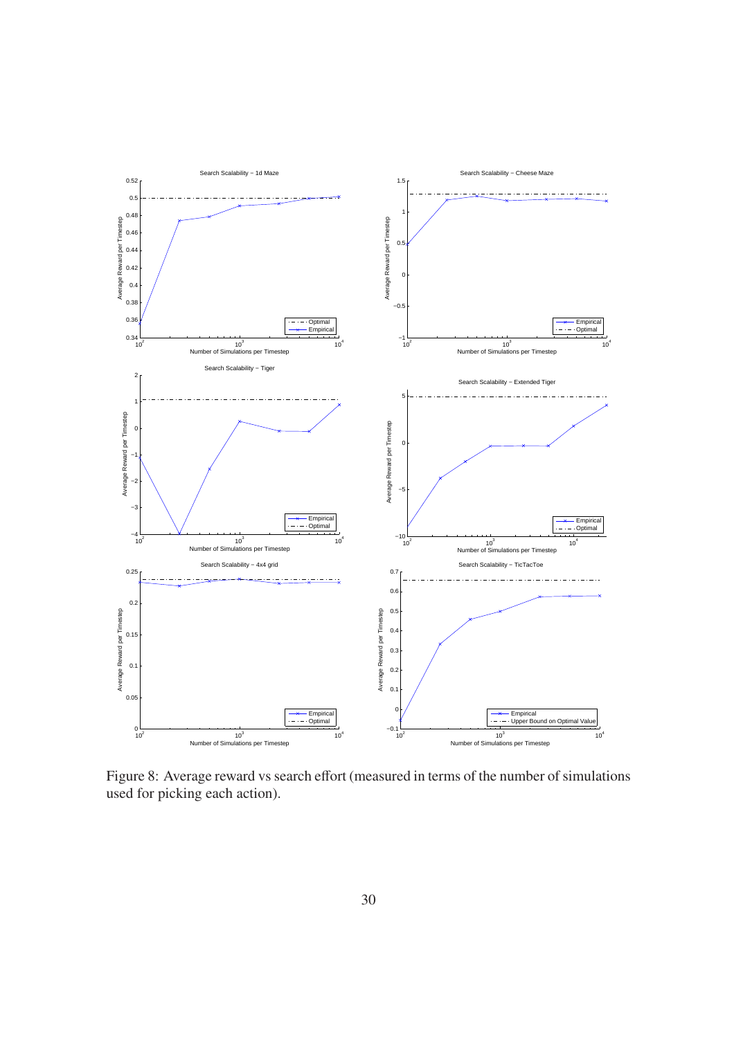

Figure 8: Average reward vs search effort (measured in terms of the number of simulations used for picking each action).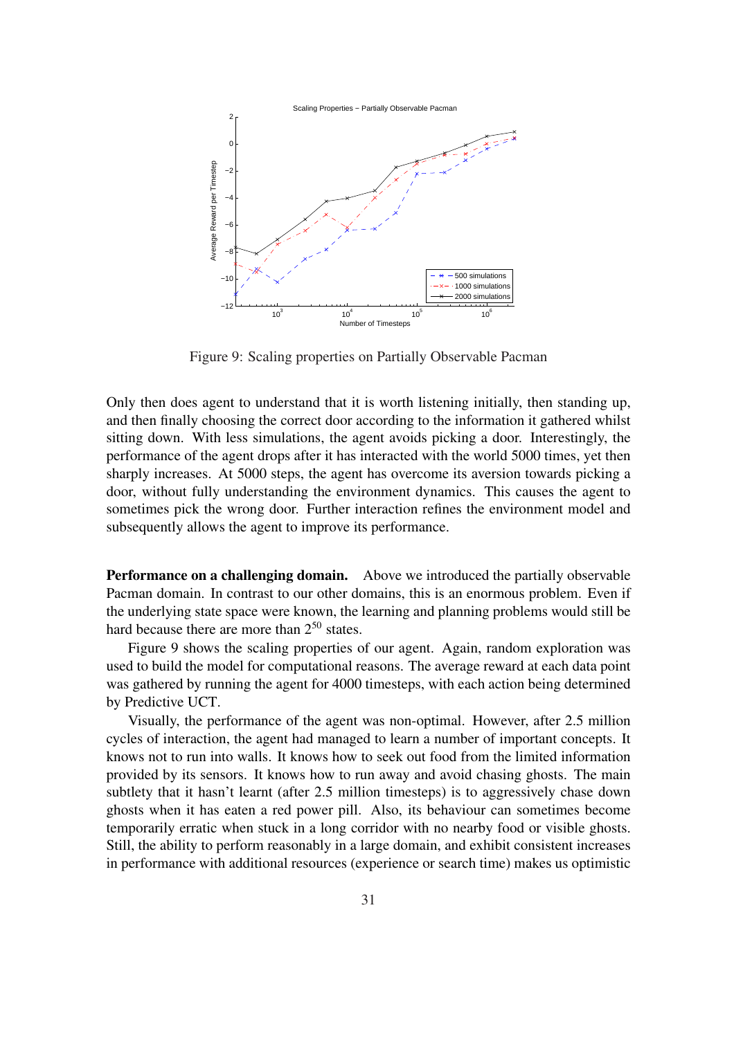

Figure 9: Scaling properties on Partially Observable Pacman

Only then does agent to understand that it is worth listening initially, then standing up, and then finally choosing the correct door according to the information it gathered whilst sitting down. With less simulations, the agent avoids picking a door. Interestingly, the performance of the agent drops after it has interacted with the world 5000 times, yet then sharply increases. At 5000 steps, the agent has overcome its aversion towards picking a door, without fully understanding the environment dynamics. This causes the agent to sometimes pick the wrong door. Further interaction refines the environment model and subsequently allows the agent to improve its performance.

Performance on a challenging domain. Above we introduced the partially observable Pacman domain. In contrast to our other domains, this is an enormous problem. Even if the underlying state space were known, the learning and planning problems would still be hard because there are more than  $2^{50}$  states.

Figure 9 shows the scaling properties of our agent. Again, random exploration was used to build the model for computational reasons. The average reward at each data point was gathered by running the agent for 4000 timesteps, with each action being determined by Predictive UCT.

Visually, the performance of the agent was non-optimal. However, after 2.5 million cycles of interaction, the agent had managed to learn a number of important concepts. It knows not to run into walls. It knows how to seek out food from the limited information provided by its sensors. It knows how to run away and avoid chasing ghosts. The main subtlety that it hasn't learnt (after 2.5 million timesteps) is to aggressively chase down ghosts when it has eaten a red power pill. Also, its behaviour can sometimes become temporarily erratic when stuck in a long corridor with no nearby food or visible ghosts. Still, the ability to perform reasonably in a large domain, and exhibit consistent increases in performance with additional resources (experience or search time) makes us optimistic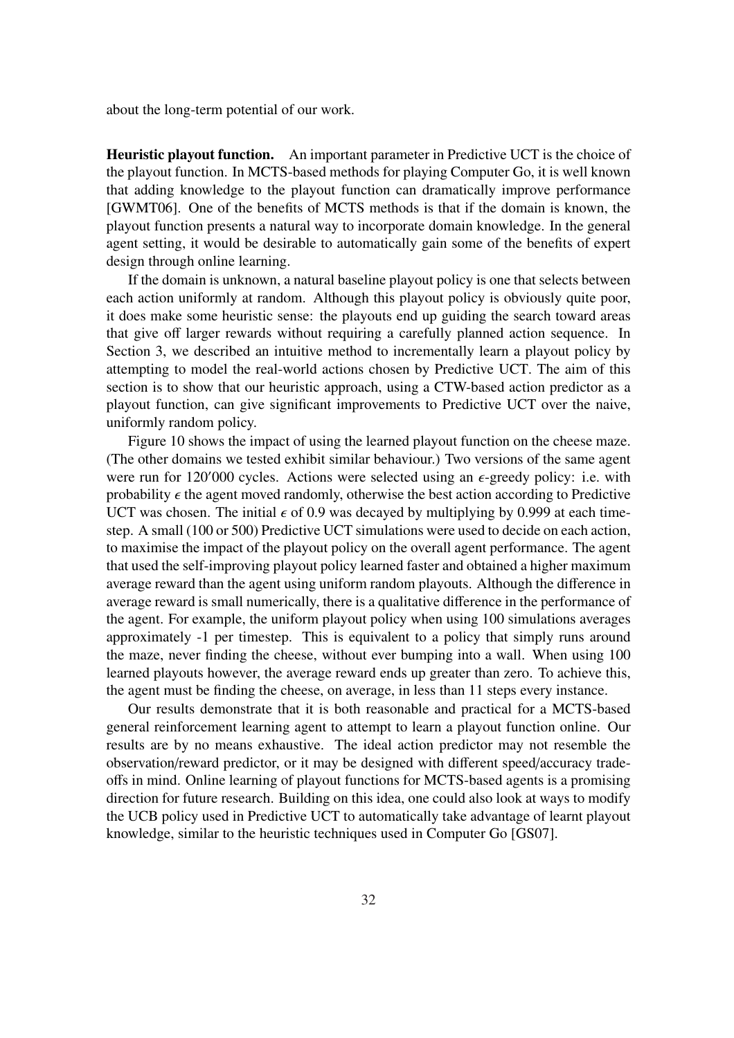about the long-term potential of our work.

Heuristic playout function. An important parameter in Predictive UCT is the choice of the playout function. In MCTS-based methods for playing Computer Go, it is well known that adding knowledge to the playout function can dramatically improve performance [GWMT06]. One of the benefits of MCTS methods is that if the domain is known, the playout function presents a natural way to incorporate domain knowledge. In the general agent setting, it would be desirable to automatically gain some of the benefits of expert design through online learning.

If the domain is unknown, a natural baseline playout policy is one that selects between each action uniformly at random. Although this playout policy is obviously quite poor, it does make some heuristic sense: the playouts end up guiding the search toward areas that give off larger rewards without requiring a carefully planned action sequence. In Section 3, we described an intuitive method to incrementally learn a playout policy by attempting to model the real-world actions chosen by Predictive UCT. The aim of this section is to show that our heuristic approach, using a CTW-based action predictor as a playout function, can give significant improvements to Predictive UCT over the naive, uniformly random policy.

Figure 10 shows the impact of using the learned playout function on the cheese maze. (The other domains we tested exhibit similar behaviour.) Two versions of the same agent were run for  $120'000$  cycles. Actions were selected using an  $\epsilon$ -greedy policy: i.e. with probability  $\epsilon$  the agent moved randomly, otherwise the best action according to Predictive UCT was chosen. The initial  $\epsilon$  of 0.9 was decayed by multiplying by 0.999 at each timestep. A small (100 or 500) Predictive UCT simulations were used to decide on each action, to maximise the impact of the playout policy on the overall agent performance. The agent that used the self-improving playout policy learned faster and obtained a higher maximum average reward than the agent using uniform random playouts. Although the difference in average reward is small numerically, there is a qualitative difference in the performance of the agent. For example, the uniform playout policy when using 100 simulations averages approximately -1 per timestep. This is equivalent to a policy that simply runs around the maze, never finding the cheese, without ever bumping into a wall. When using 100 learned playouts however, the average reward ends up greater than zero. To achieve this, the agent must be finding the cheese, on average, in less than 11 steps every instance.

Our results demonstrate that it is both reasonable and practical for a MCTS-based general reinforcement learning agent to attempt to learn a playout function online. Our results are by no means exhaustive. The ideal action predictor may not resemble the observation/reward predictor, or it may be designed with different speed/accuracy tradeoffs in mind. Online learning of playout functions for MCTS-based agents is a promising direction for future research. Building on this idea, one could also look at ways to modify the UCB policy used in Predictive UCT to automatically take advantage of learnt playout knowledge, similar to the heuristic techniques used in Computer Go [GS07].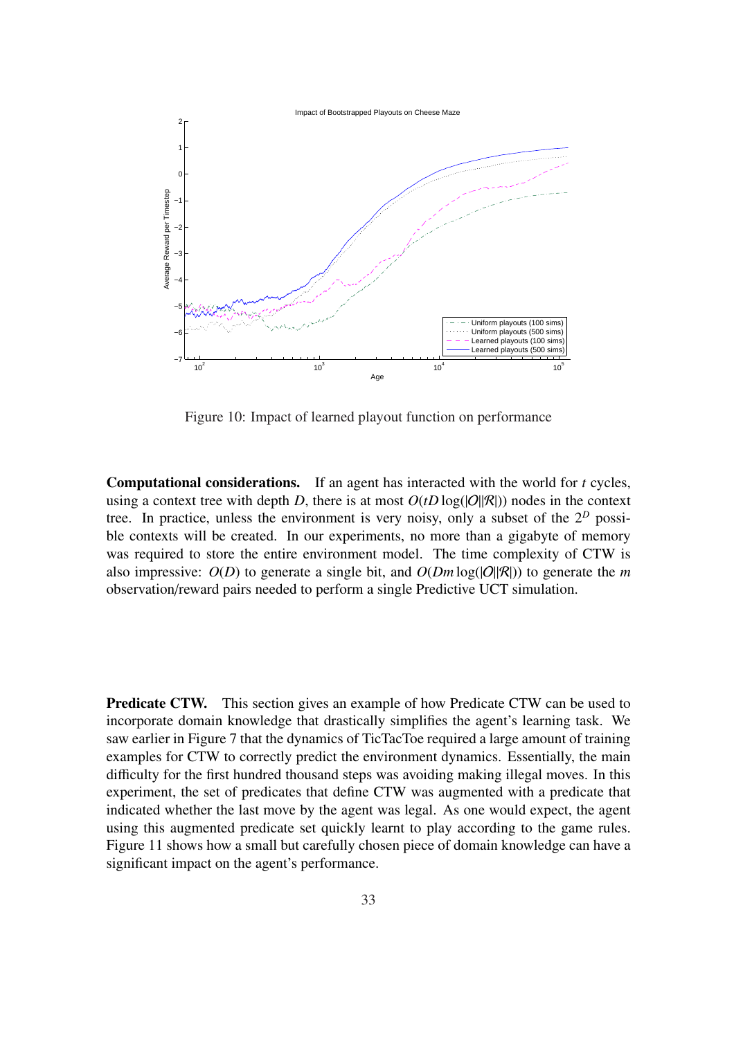

Figure 10: Impact of learned playout function on performance

Computational considerations. If an agent has interacted with the world for *t* cycles, using a context tree with depth *D*, there is at most  $O(tD \log(|O||R|))$  nodes in the context tree. In practice, unless the environment is very noisy, only a subset of the 2*<sup>D</sup>* possible contexts will be created. In our experiments, no more than a gigabyte of memory was required to store the entire environment model. The time complexity of CTW is also impressive:  $O(D)$  to generate a single bit, and  $O(Dm \log(|O||R|))$  to generate the *m* observation/reward pairs needed to perform a single Predictive UCT simulation.

**Predicate CTW.** This section gives an example of how Predicate CTW can be used to incorporate domain knowledge that drastically simplifies the agent's learning task. We saw earlier in Figure 7 that the dynamics of TicTacToe required a large amount of training examples for CTW to correctly predict the environment dynamics. Essentially, the main difficulty for the first hundred thousand steps was avoiding making illegal moves. In this experiment, the set of predicates that define CTW was augmented with a predicate that indicated whether the last move by the agent was legal. As one would expect, the agent using this augmented predicate set quickly learnt to play according to the game rules. Figure 11 shows how a small but carefully chosen piece of domain knowledge can have a significant impact on the agent's performance.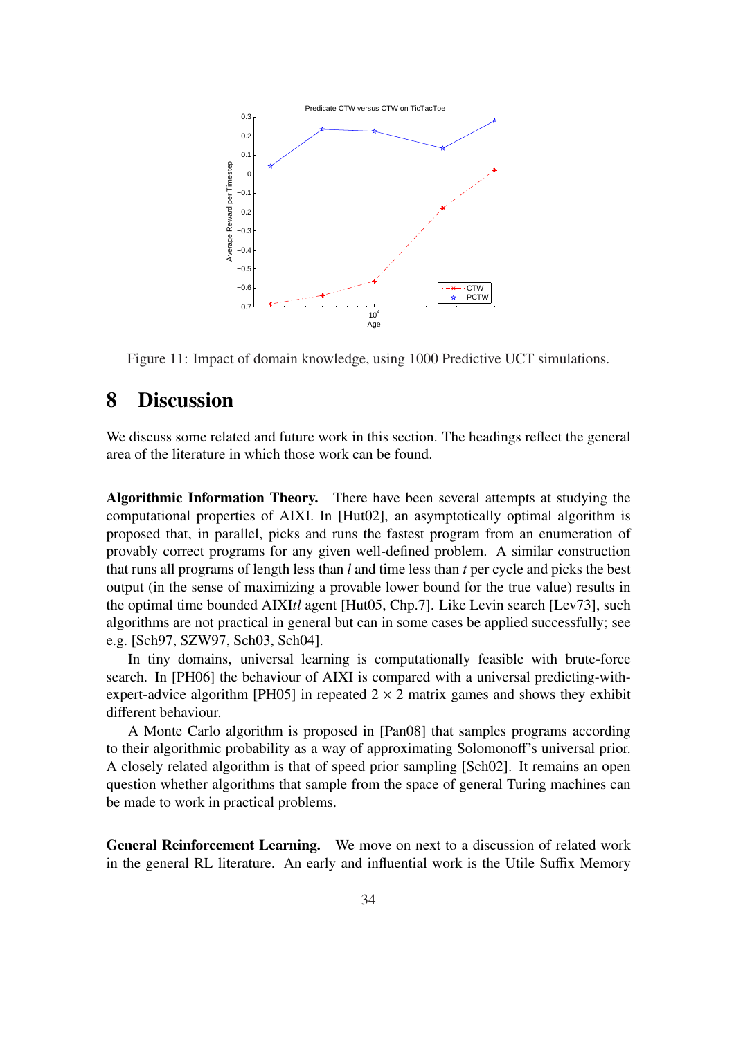

Figure 11: Impact of domain knowledge, using 1000 Predictive UCT simulations.

## 8 Discussion

We discuss some related and future work in this section. The headings reflect the general area of the literature in which those work can be found.

Algorithmic Information Theory. There have been several attempts at studying the computational properties of AIXI. In [Hut02], an asymptotically optimal algorithm is proposed that, in parallel, picks and runs the fastest program from an enumeration of provably correct programs for any given well-defined problem. A similar construction that runs all programs of length less than *l* and time less than *t* per cycle and picks the best output (in the sense of maximizing a provable lower bound for the true value) results in the optimal time bounded AIXI*tl* agent [Hut05, Chp.7]. Like Levin search [Lev73], such algorithms are not practical in general but can in some cases be applied successfully; see e.g. [Sch97, SZW97, Sch03, Sch04].

In tiny domains, universal learning is computationally feasible with brute-force search. In [PH06] the behaviour of AIXI is compared with a universal predicting-withexpert-advice algorithm [PH05] in repeated  $2 \times 2$  matrix games and shows they exhibit different behaviour.

A Monte Carlo algorithm is proposed in [Pan08] that samples programs according to their algorithmic probability as a way of approximating Solomonoff's universal prior. A closely related algorithm is that of speed prior sampling [Sch02]. It remains an open question whether algorithms that sample from the space of general Turing machines can be made to work in practical problems.

General Reinforcement Learning. We move on next to a discussion of related work in the general RL literature. An early and influential work is the Utile Suffix Memory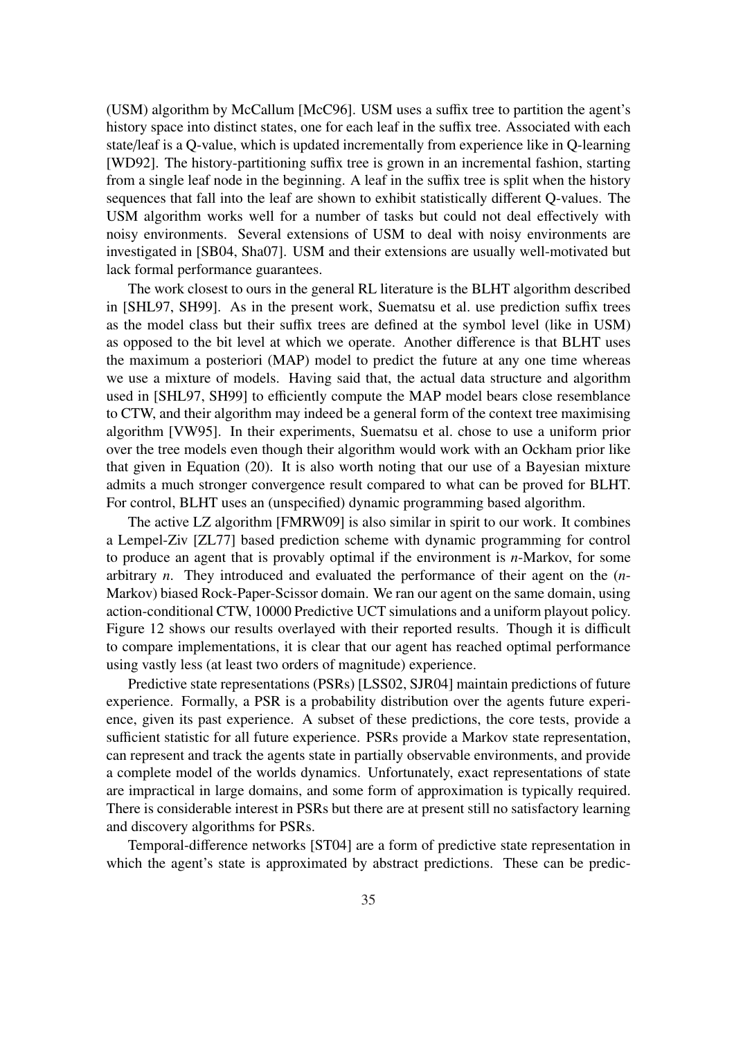(USM) algorithm by McCallum [McC96]. USM uses a suffix tree to partition the agent's history space into distinct states, one for each leaf in the suffix tree. Associated with each state/leaf is a Q-value, which is updated incrementally from experience like in Q-learning [WD92]. The history-partitioning suffix tree is grown in an incremental fashion, starting from a single leaf node in the beginning. A leaf in the suffix tree is split when the history sequences that fall into the leaf are shown to exhibit statistically different Q-values. The USM algorithm works well for a number of tasks but could not deal effectively with noisy environments. Several extensions of USM to deal with noisy environments are investigated in [SB04, Sha07]. USM and their extensions are usually well-motivated but lack formal performance guarantees.

The work closest to ours in the general RL literature is the BLHT algorithm described in [SHL97, SH99]. As in the present work, Suematsu et al. use prediction suffix trees as the model class but their suffix trees are defined at the symbol level (like in USM) as opposed to the bit level at which we operate. Another difference is that BLHT uses the maximum a posteriori (MAP) model to predict the future at any one time whereas we use a mixture of models. Having said that, the actual data structure and algorithm used in [SHL97, SH99] to efficiently compute the MAP model bears close resemblance to CTW, and their algorithm may indeed be a general form of the context tree maximising algorithm [VW95]. In their experiments, Suematsu et al. chose to use a uniform prior over the tree models even though their algorithm would work with an Ockham prior like that given in Equation (20). It is also worth noting that our use of a Bayesian mixture admits a much stronger convergence result compared to what can be proved for BLHT. For control, BLHT uses an (unspecified) dynamic programming based algorithm.

The active LZ algorithm [FMRW09] is also similar in spirit to our work. It combines a Lempel-Ziv [ZL77] based prediction scheme with dynamic programming for control to produce an agent that is provably optimal if the environment is *n*-Markov, for some arbitrary *n*. They introduced and evaluated the performance of their agent on the (*n*-Markov) biased Rock-Paper-Scissor domain. We ran our agent on the same domain, using action-conditional CTW, 10000 Predictive UCT simulations and a uniform playout policy. Figure 12 shows our results overlayed with their reported results. Though it is difficult to compare implementations, it is clear that our agent has reached optimal performance using vastly less (at least two orders of magnitude) experience.

Predictive state representations (PSRs) [LSS02, SJR04] maintain predictions of future experience. Formally, a PSR is a probability distribution over the agents future experience, given its past experience. A subset of these predictions, the core tests, provide a sufficient statistic for all future experience. PSRs provide a Markov state representation, can represent and track the agents state in partially observable environments, and provide a complete model of the worlds dynamics. Unfortunately, exact representations of state are impractical in large domains, and some form of approximation is typically required. There is considerable interest in PSRs but there are at present still no satisfactory learning and discovery algorithms for PSRs.

Temporal-difference networks [ST04] are a form of predictive state representation in which the agent's state is approximated by abstract predictions. These can be predic-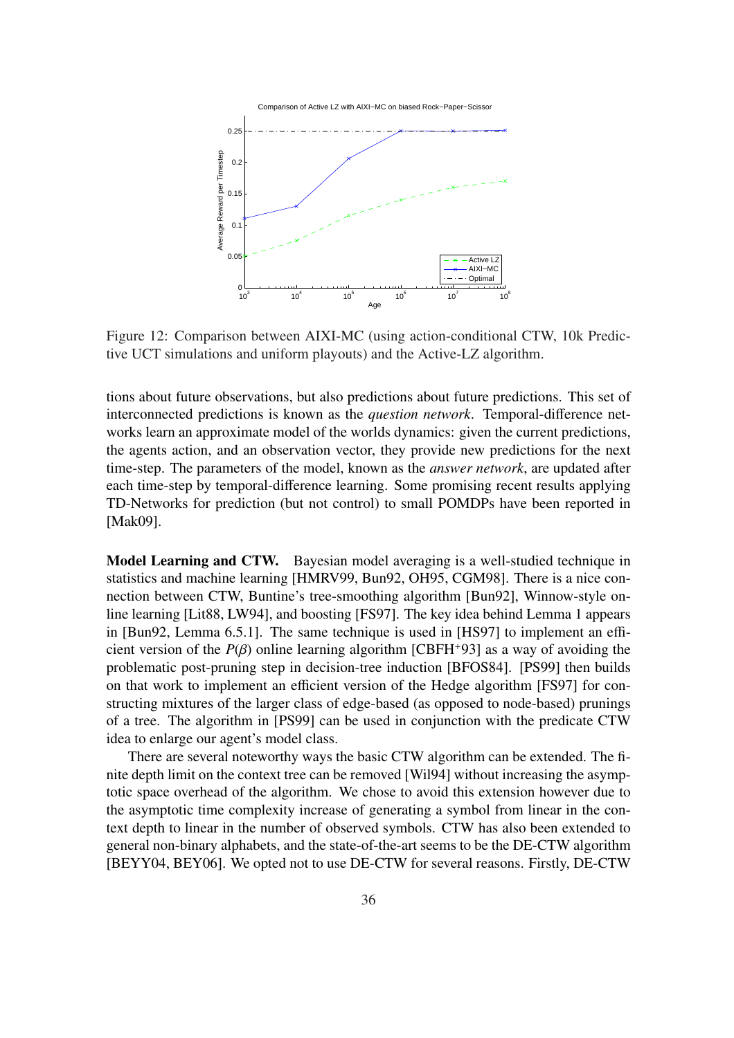

Figure 12: Comparison between AIXI-MC (using action-conditional CTW, 10k Predictive UCT simulations and uniform playouts) and the Active-LZ algorithm.

tions about future observations, but also predictions about future predictions. This set of interconnected predictions is known as the *question network*. Temporal-difference networks learn an approximate model of the worlds dynamics: given the current predictions, the agents action, and an observation vector, they provide new predictions for the next time-step. The parameters of the model, known as the *answer network*, are updated after each time-step by temporal-difference learning. Some promising recent results applying TD-Networks for prediction (but not control) to small POMDPs have been reported in [Mak09].

Model Learning and CTW. Bayesian model averaging is a well-studied technique in statistics and machine learning [HMRV99, Bun92, OH95, CGM98]. There is a nice connection between CTW, Buntine's tree-smoothing algorithm [Bun92], Winnow-style online learning [Lit88, LW94], and boosting [FS97]. The key idea behind Lemma 1 appears in [Bun92, Lemma 6.5.1]. The same technique is used in [HS97] to implement an efficient version of the  $P(\beta)$  online learning algorithm [CBFH<sup>+93]</sup> as a way of avoiding the problematic post-pruning step in decision-tree induction [BFOS84]. [PS99] then builds on that work to implement an efficient version of the Hedge algorithm [FS97] for constructing mixtures of the larger class of edge-based (as opposed to node-based) prunings of a tree. The algorithm in [PS99] can be used in conjunction with the predicate CTW idea to enlarge our agent's model class.

There are several noteworthy ways the basic CTW algorithm can be extended. The finite depth limit on the context tree can be removed [Wil94] without increasing the asymptotic space overhead of the algorithm. We chose to avoid this extension however due to the asymptotic time complexity increase of generating a symbol from linear in the context depth to linear in the number of observed symbols. CTW has also been extended to general non-binary alphabets, and the state-of-the-art seems to be the DE-CTW algorithm [BEYY04, BEY06]. We opted not to use DE-CTW for several reasons. Firstly, DE-CTW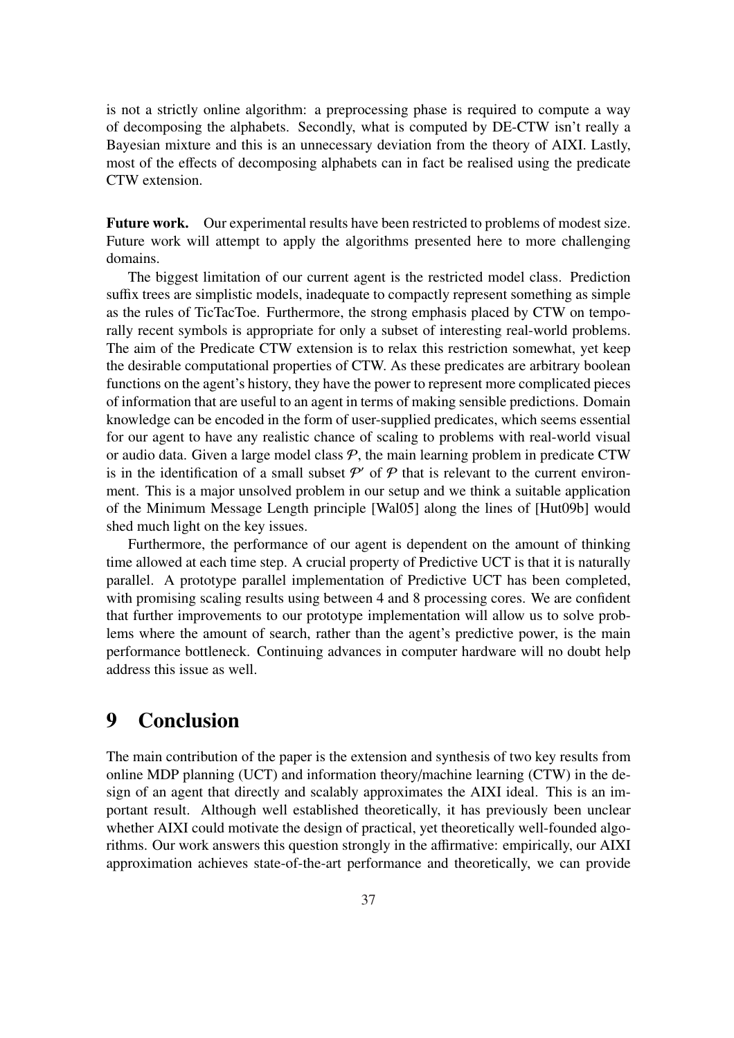is not a strictly online algorithm: a preprocessing phase is required to compute a way of decomposing the alphabets. Secondly, what is computed by DE-CTW isn't really a Bayesian mixture and this is an unnecessary deviation from the theory of AIXI. Lastly, most of the effects of decomposing alphabets can in fact be realised using the predicate CTW extension.

Future work. Our experimental results have been restricted to problems of modest size. Future work will attempt to apply the algorithms presented here to more challenging domains.

The biggest limitation of our current agent is the restricted model class. Prediction suffix trees are simplistic models, inadequate to compactly represent something as simple as the rules of TicTacToe. Furthermore, the strong emphasis placed by CTW on temporally recent symbols is appropriate for only a subset of interesting real-world problems. The aim of the Predicate CTW extension is to relax this restriction somewhat, yet keep the desirable computational properties of CTW. As these predicates are arbitrary boolean functions on the agent's history, they have the power to represent more complicated pieces of information that are useful to an agent in terms of making sensible predictions. Domain knowledge can be encoded in the form of user-supplied predicates, which seems essential for our agent to have any realistic chance of scaling to problems with real-world visual or audio data. Given a large model class  $P$ , the main learning problem in predicate CTW is in the identification of a small subset  $P'$  of  $P$  that is relevant to the current environment. This is a major unsolved problem in our setup and we think a suitable application of the Minimum Message Length principle [Wal05] along the lines of [Hut09b] would shed much light on the key issues.

Furthermore, the performance of our agent is dependent on the amount of thinking time allowed at each time step. A crucial property of Predictive UCT is that it is naturally parallel. A prototype parallel implementation of Predictive UCT has been completed, with promising scaling results using between 4 and 8 processing cores. We are confident that further improvements to our prototype implementation will allow us to solve problems where the amount of search, rather than the agent's predictive power, is the main performance bottleneck. Continuing advances in computer hardware will no doubt help address this issue as well.

## 9 Conclusion

The main contribution of the paper is the extension and synthesis of two key results from online MDP planning (UCT) and information theory/machine learning (CTW) in the design of an agent that directly and scalably approximates the AIXI ideal. This is an important result. Although well established theoretically, it has previously been unclear whether AIXI could motivate the design of practical, yet theoretically well-founded algorithms. Our work answers this question strongly in the affirmative: empirically, our AIXI approximation achieves state-of-the-art performance and theoretically, we can provide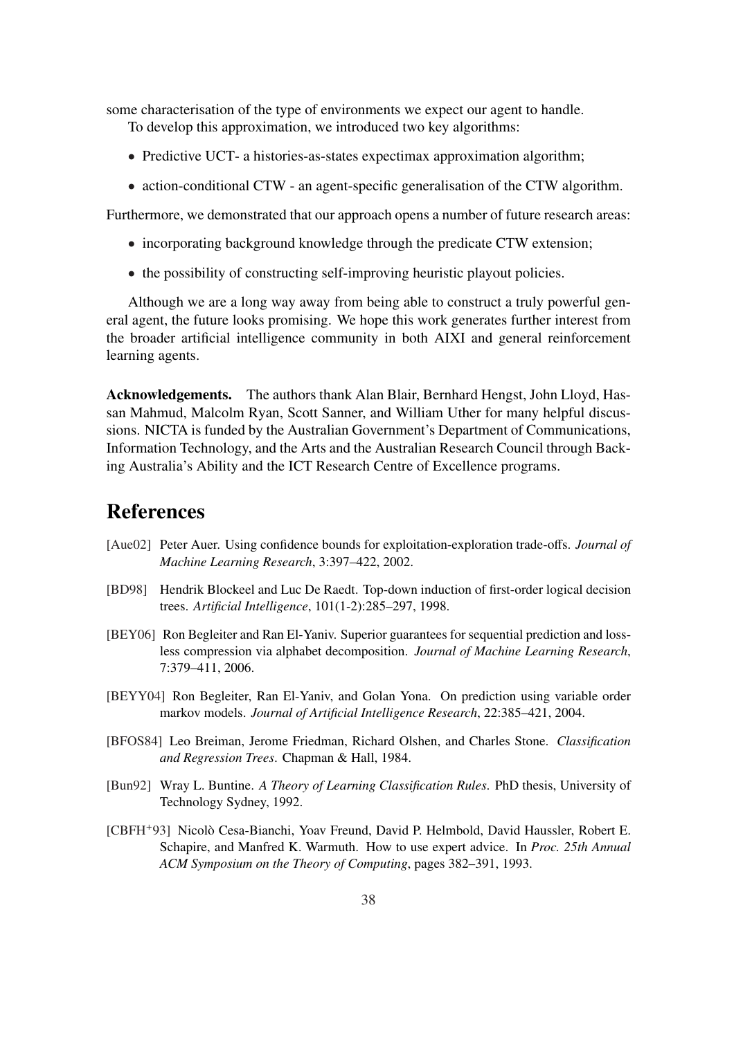some characterisation of the type of environments we expect our agent to handle.

To develop this approximation, we introduced two key algorithms:

- Predictive UCT- a histories-as-states expectimax approximation algorithm;
- action-conditional CTW an agent-specific generalisation of the CTW algorithm.

Furthermore, we demonstrated that our approach opens a number of future research areas:

- incorporating background knowledge through the predicate CTW extension;
- the possibility of constructing self-improving heuristic playout policies.

Although we are a long way away from being able to construct a truly powerful general agent, the future looks promising. We hope this work generates further interest from the broader artificial intelligence community in both AIXI and general reinforcement learning agents.

Acknowledgements. The authors thank Alan Blair, Bernhard Hengst, John Lloyd, Hassan Mahmud, Malcolm Ryan, Scott Sanner, and William Uther for many helpful discussions. NICTA is funded by the Australian Government's Department of Communications, Information Technology, and the Arts and the Australian Research Council through Backing Australia's Ability and the ICT Research Centre of Excellence programs.

## References

- [Aue02] Peter Auer. Using confidence bounds for exploitation-exploration trade-offs. *Journal of Machine Learning Research*, 3:397–422, 2002.
- [BD98] Hendrik Blockeel and Luc De Raedt. Top-down induction of first-order logical decision trees. *Artificial Intelligence*, 101(1-2):285–297, 1998.
- [BEY06] Ron Begleiter and Ran El-Yaniv. Superior guarantees for sequential prediction and lossless compression via alphabet decomposition. *Journal of Machine Learning Research*, 7:379–411, 2006.
- [BEYY04] Ron Begleiter, Ran El-Yaniv, and Golan Yona. On prediction using variable order markov models. *Journal of Artificial Intelligence Research*, 22:385–421, 2004.
- [BFOS84] Leo Breiman, Jerome Friedman, Richard Olshen, and Charles Stone. *Classification and Regression Trees*. Chapman & Hall, 1984.
- [Bun92] Wray L. Buntine. *A Theory of Learning Classification Rules*. PhD thesis, University of Technology Sydney, 1992.
- [CBFH+93] Nicolò Cesa-Bianchi, Yoav Freund, David P. Helmbold, David Haussler, Robert E. Schapire, and Manfred K. Warmuth. How to use expert advice. In *Proc. 25th Annual ACM Symposium on the Theory of Computing*, pages 382–391, 1993.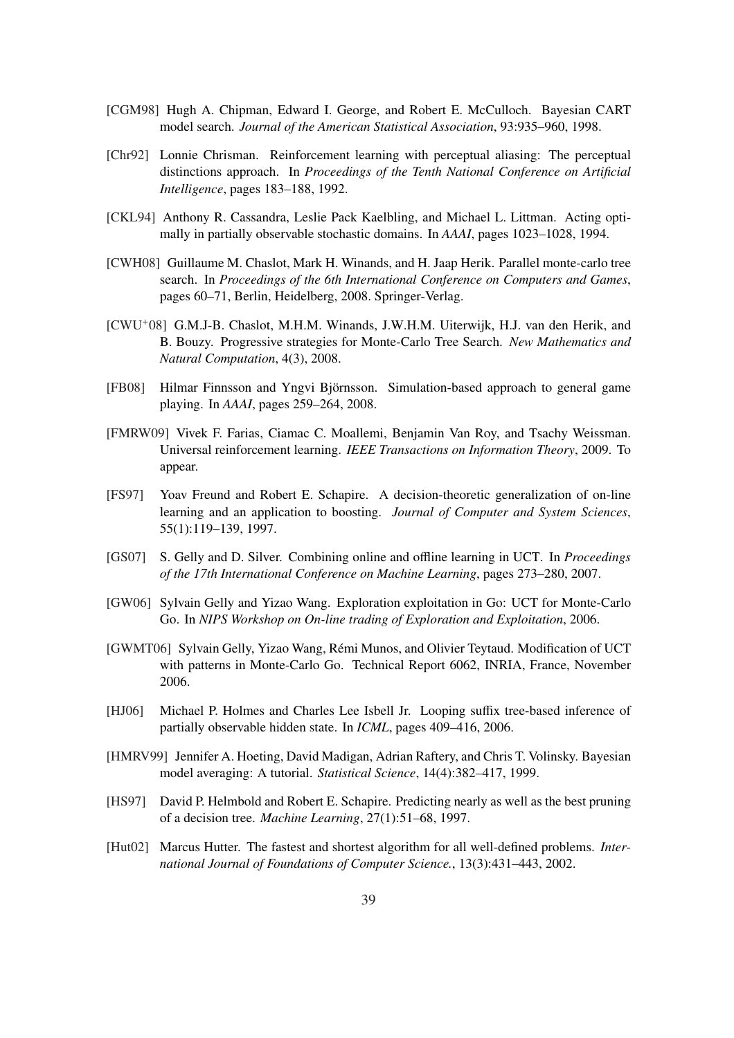- [CGM98] Hugh A. Chipman, Edward I. George, and Robert E. McCulloch. Bayesian CART model search. *Journal of the American Statistical Association*, 93:935–960, 1998.
- [Chr92] Lonnie Chrisman. Reinforcement learning with perceptual aliasing: The perceptual distinctions approach. In *Proceedings of the Tenth National Conference on Artificial Intelligence*, pages 183–188, 1992.
- [CKL94] Anthony R. Cassandra, Leslie Pack Kaelbling, and Michael L. Littman. Acting optimally in partially observable stochastic domains. In *AAAI*, pages 1023–1028, 1994.
- [CWH08] Guillaume M. Chaslot, Mark H. Winands, and H. Jaap Herik. Parallel monte-carlo tree search. In *Proceedings of the 6th International Conference on Computers and Games*, pages 60–71, Berlin, Heidelberg, 2008. Springer-Verlag.
- [CWU+08] G.M.J-B. Chaslot, M.H.M. Winands, J.W.H.M. Uiterwijk, H.J. van den Herik, and B. Bouzy. Progressive strategies for Monte-Carlo Tree Search. *New Mathematics and Natural Computation*, 4(3), 2008.
- [FB08] Hilmar Finnsson and Yngvi Björnsson. Simulation-based approach to general game playing. In *AAAI*, pages 259–264, 2008.
- [FMRW09] Vivek F. Farias, Ciamac C. Moallemi, Benjamin Van Roy, and Tsachy Weissman. Universal reinforcement learning. *IEEE Transactions on Information Theory*, 2009. To appear.
- [FS97] Yoav Freund and Robert E. Schapire. A decision-theoretic generalization of on-line learning and an application to boosting. *Journal of Computer and System Sciences*, 55(1):119–139, 1997.
- [GS07] S. Gelly and D. Silver. Combining online and offline learning in UCT. In *Proceedings of the 17th International Conference on Machine Learning*, pages 273–280, 2007.
- [GW06] Sylvain Gelly and Yizao Wang. Exploration exploitation in Go: UCT for Monte-Carlo Go. In *NIPS Workshop on On-line trading of Exploration and Exploitation*, 2006.
- [GWMT06] Sylvain Gelly, Yizao Wang, Remi Munos, and Olivier Teytaud. Modification of UCT ´ with patterns in Monte-Carlo Go. Technical Report 6062, INRIA, France, November 2006.
- [HJ06] Michael P. Holmes and Charles Lee Isbell Jr. Looping suffix tree-based inference of partially observable hidden state. In *ICML*, pages 409–416, 2006.
- [HMRV99] Jennifer A. Hoeting, David Madigan, Adrian Raftery, and Chris T. Volinsky. Bayesian model averaging: A tutorial. *Statistical Science*, 14(4):382–417, 1999.
- [HS97] David P. Helmbold and Robert E. Schapire. Predicting nearly as well as the best pruning of a decision tree. *Machine Learning*, 27(1):51–68, 1997.
- [Hut02] Marcus Hutter. The fastest and shortest algorithm for all well-defined problems. *International Journal of Foundations of Computer Science.*, 13(3):431–443, 2002.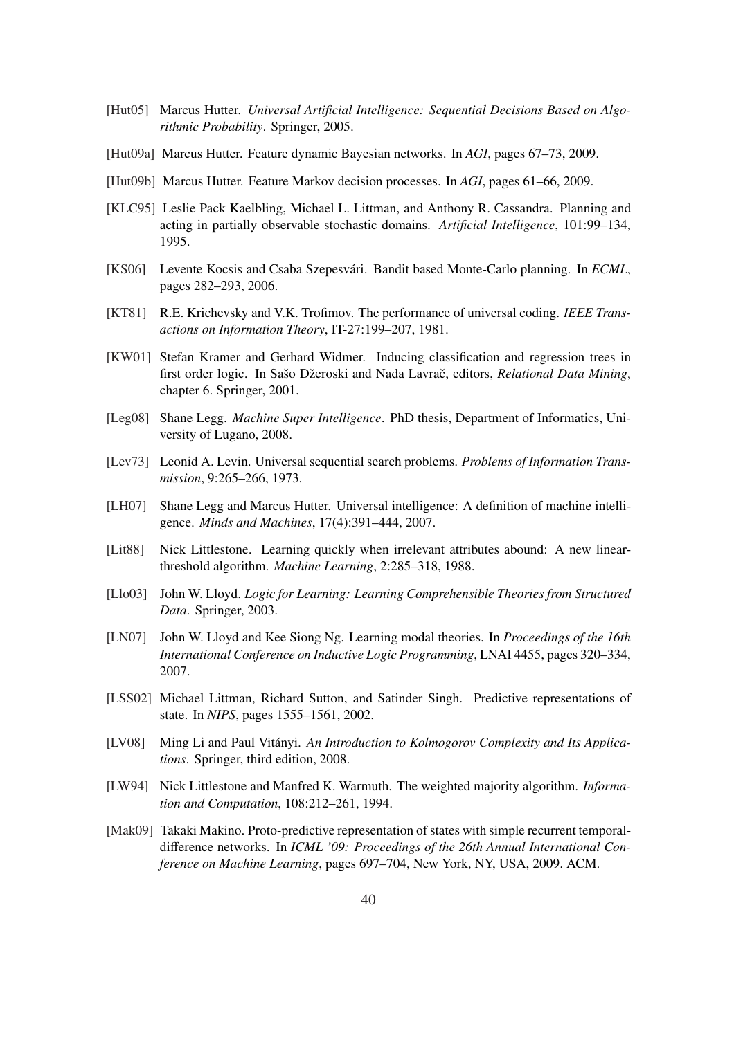- [Hut05] Marcus Hutter. *Universal Artificial Intelligence: Sequential Decisions Based on Algorithmic Probability*. Springer, 2005.
- [Hut09a] Marcus Hutter. Feature dynamic Bayesian networks. In *AGI*, pages 67–73, 2009.
- [Hut09b] Marcus Hutter. Feature Markov decision processes. In *AGI*, pages 61–66, 2009.
- [KLC95] Leslie Pack Kaelbling, Michael L. Littman, and Anthony R. Cassandra. Planning and acting in partially observable stochastic domains. *Artificial Intelligence*, 101:99–134, 1995.
- [KS06] Levente Kocsis and Csaba Szepesvári. Bandit based Monte-Carlo planning. In *ECML*, pages 282–293, 2006.
- [KT81] R.E. Krichevsky and V.K. Trofimov. The performance of universal coding. *IEEE Transactions on Information Theory*, IT-27:199–207, 1981.
- [KW01] Stefan Kramer and Gerhard Widmer. Inducing classification and regression trees in first order logic. In Sašo Džeroski and Nada Lavrač, editors, *Relational Data Mining*, chapter 6. Springer, 2001.
- [Leg08] Shane Legg. *Machine Super Intelligence*. PhD thesis, Department of Informatics, University of Lugano, 2008.
- [Lev73] Leonid A. Levin. Universal sequential search problems. *Problems of Information Transmission*, 9:265–266, 1973.
- [LH07] Shane Legg and Marcus Hutter. Universal intelligence: A definition of machine intelligence. *Minds and Machines*, 17(4):391–444, 2007.
- [Lit88] Nick Littlestone. Learning quickly when irrelevant attributes abound: A new linearthreshold algorithm. *Machine Learning*, 2:285–318, 1988.
- [Llo03] John W. Lloyd. *Logic for Learning: Learning Comprehensible Theories from Structured Data*. Springer, 2003.
- [LN07] John W. Lloyd and Kee Siong Ng. Learning modal theories. In *Proceedings of the 16th International Conference on Inductive Logic Programming*, LNAI 4455, pages 320–334, 2007.
- [LSS02] Michael Littman, Richard Sutton, and Satinder Singh. Predictive representations of state. In *NIPS*, pages 1555–1561, 2002.
- [LV08] Ming Li and Paul Vitányi. An Introduction to Kolmogorov Complexity and Its Applica*tions*. Springer, third edition, 2008.
- [LW94] Nick Littlestone and Manfred K. Warmuth. The weighted majority algorithm. *Information and Computation*, 108:212–261, 1994.
- [Mak09] Takaki Makino. Proto-predictive representation of states with simple recurrent temporaldifference networks. In *ICML '09: Proceedings of the 26th Annual International Conference on Machine Learning*, pages 697–704, New York, NY, USA, 2009. ACM.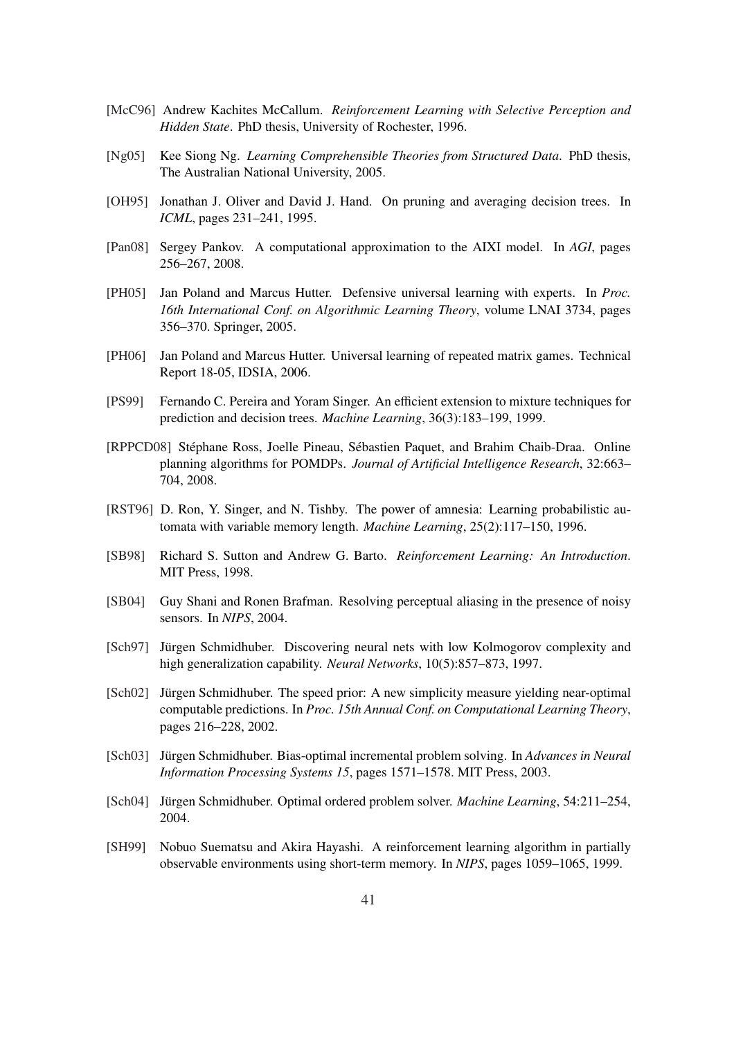- [McC96] Andrew Kachites McCallum. *Reinforcement Learning with Selective Perception and Hidden State*. PhD thesis, University of Rochester, 1996.
- [Ng05] Kee Siong Ng. *Learning Comprehensible Theories from Structured Data*. PhD thesis, The Australian National University, 2005.
- [OH95] Jonathan J. Oliver and David J. Hand. On pruning and averaging decision trees. In *ICML*, pages 231–241, 1995.
- [Pan08] Sergey Pankov. A computational approximation to the AIXI model. In *AGI*, pages 256–267, 2008.
- [PH05] Jan Poland and Marcus Hutter. Defensive universal learning with experts. In *Proc. 16th International Conf. on Algorithmic Learning Theory*, volume LNAI 3734, pages 356–370. Springer, 2005.
- [PH06] Jan Poland and Marcus Hutter. Universal learning of repeated matrix games. Technical Report 18-05, IDSIA, 2006.
- [PS99] Fernando C. Pereira and Yoram Singer. An efficient extension to mixture techniques for prediction and decision trees. *Machine Learning*, 36(3):183–199, 1999.
- [RPPCD08] Stéphane Ross, Joelle Pineau, Sébastien Paquet, and Brahim Chaib-Draa. Online planning algorithms for POMDPs. *Journal of Artificial Intelligence Research*, 32:663– 704, 2008.
- [RST96] D. Ron, Y. Singer, and N. Tishby. The power of amnesia: Learning probabilistic automata with variable memory length. *Machine Learning*, 25(2):117–150, 1996.
- [SB98] Richard S. Sutton and Andrew G. Barto. *Reinforcement Learning: An Introduction*. MIT Press, 1998.
- [SB04] Guy Shani and Ronen Brafman. Resolving perceptual aliasing in the presence of noisy sensors. In *NIPS*, 2004.
- [Sch97] Jürgen Schmidhuber. Discovering neural nets with low Kolmogorov complexity and high generalization capability. *Neural Networks*, 10(5):857–873, 1997.
- [Sch02] Jürgen Schmidhuber. The speed prior: A new simplicity measure yielding near-optimal computable predictions. In *Proc. 15th Annual Conf. on Computational Learning Theory*, pages 216–228, 2002.
- [Sch03] Jürgen Schmidhuber. Bias-optimal incremental problem solving. In *Advances in Neural Information Processing Systems 15*, pages 1571–1578. MIT Press, 2003.
- [Sch04] Jürgen Schmidhuber. Optimal ordered problem solver. *Machine Learning*, 54:211–254, 2004.
- [SH99] Nobuo Suematsu and Akira Hayashi. A reinforcement learning algorithm in partially observable environments using short-term memory. In *NIPS*, pages 1059–1065, 1999.